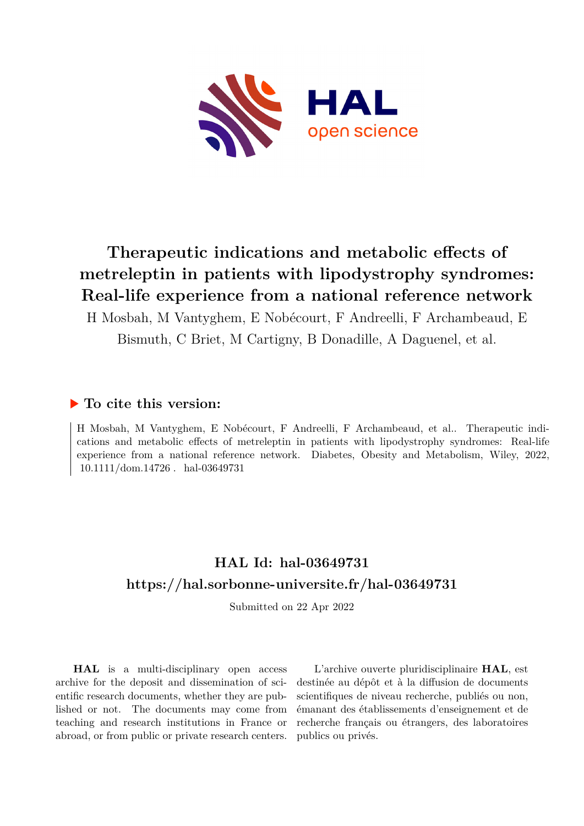

# **Therapeutic indications and metabolic effects of metreleptin in patients with lipodystrophy syndromes: Real-life experience from a national reference network**

H Mosbah, M Vantyghem, E Nobécourt, F Andreelli, F Archambeaud, E Bismuth, C Briet, M Cartigny, B Donadille, A Daguenel, et al.

## **To cite this version:**

H Mosbah, M Vantyghem, E Nobécourt, F Andreelli, F Archambeaud, et al.. Therapeutic indications and metabolic effects of metreleptin in patients with lipodystrophy syndromes: Real-life experience from a national reference network. Diabetes, Obesity and Metabolism, Wiley, 2022, 10.1111/dom.14726 hal-03649731

## **HAL Id: hal-03649731 <https://hal.sorbonne-universite.fr/hal-03649731>**

Submitted on 22 Apr 2022

**HAL** is a multi-disciplinary open access archive for the deposit and dissemination of scientific research documents, whether they are published or not. The documents may come from teaching and research institutions in France or abroad, or from public or private research centers.

L'archive ouverte pluridisciplinaire **HAL**, est destinée au dépôt et à la diffusion de documents scientifiques de niveau recherche, publiés ou non, émanant des établissements d'enseignement et de recherche français ou étrangers, des laboratoires publics ou privés.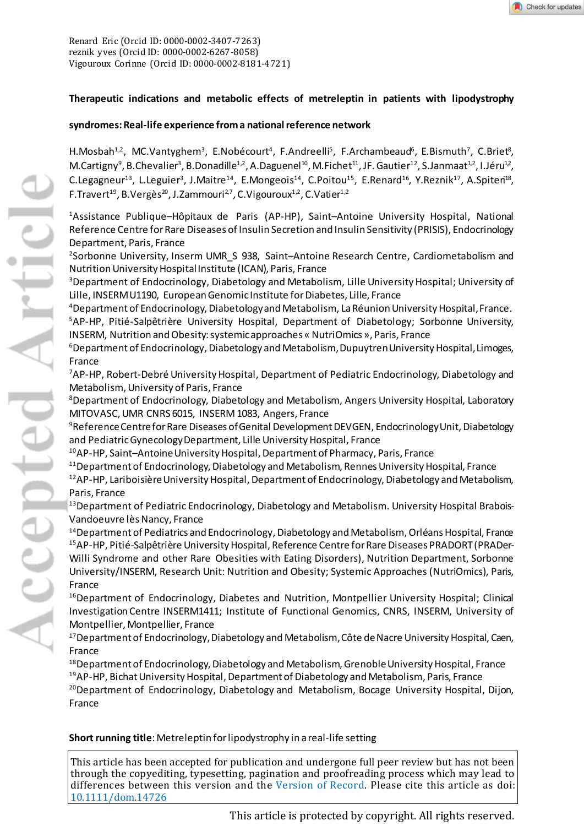Renard Eric (Orcid ID[: 0000-0002-3407-7263\)](http://orcid.org/0000-0002-3407-7263) reznik yves (Orcid ID: [0000-0002-6267-8058\)](http://orcid.org/0000-0002-6267-8058) Vigouroux Corinne (Orcid ID[: 0000-0002-8181-4721\)](http://orcid.org/0000-0002-8181-4721)

## **Therapeutic indications and metabolic effects of metreleptin in patients with lipodystrophy**

## **syndromes:Real-life experience from a national reference network**

H.Mosbah<sup>1,2</sup>, MC.Vantyghem<sup>3</sup>, E.Nobécourt<sup>4</sup>, F.Andreelli<sup>5</sup>, F.Archambeaud<sup>6</sup>, E.Bismuth<sup>7</sup>, C.Briet<sup>8</sup>, M.Cartigny<sup>9</sup>, B.Chevalier<sup>3</sup>, B.Donadille<sup>1,2</sup>, A.Daguenel<sup>10</sup>, M.Fichet<sup>11</sup>, JF. Gautier<sup>12</sup>, S.Janmaat<sup>1,2</sup>, I.Jéru<sup>12</sup>, C.Legagneur<sup>13</sup>, L.Leguier<sup>3</sup>, J.Maitre<sup>14</sup>, E.Mongeois<sup>14</sup>, C.Poitou<sup>15</sup>, E.Renard<sup>16</sup>, Y.Reznik<sup>17</sup>, A.Spiten<sup>18</sup>, F.Travert<sup>19</sup>, B.Vergès<sup>20</sup>, J.Zammouri<sup>2,7</sup>, C.Vigouroux<sup>1,2</sup>, C.Vatier<sup>1,2</sup>

1 Assistance Publique–Hôpitaux de Paris (AP-HP), Saint–Antoine University Hospital, National Reference Centre for Rare Diseases of Insulin Secretion and Insulin Sensitivity (PRISIS), Endocrinology Department, Paris, France

2 Sorbonne University, Inserm UMR\_S 938, Saint–Antoine Research Centre, Cardiometabolism and Nutrition University Hospital Institute (ICAN), Paris, France

3 Department of Endocrinology, Diabetology and Metabolism, Lille University Hospital; University of Lille, INSERM U1190, European Genomic Institute for Diabetes, Lille, France

4 Department of Endocrinology, Diabetology and Metabolism, La RéunionUniversity Hospital, France. 5 AP-HP, Pitié-Salpêtrière University Hospital, Department of Diabetology; Sorbonne University, INSERM, Nutrition and Obesity: systemic approaches « NutriOmics », Paris, France

6 Department of Endocrinology, Diabetology and Metabolism, DupuytrenUniversity Hospital, Limoges, France

7 AP-HP, Robert-Debré University Hospital, Department of Pediatric Endocrinology, Diabetology and Metabolism, University of Paris, France

8 Department of Endocrinology, Diabetology and Metabolism, Angers University Hospital, Laboratory MITOVASC, UMR CNRS 6015, INSERM 1083, Angers, France

9Reference Centrefor Rare Diseases of Genital Development DEVGEN, EndocrinologyUnit, Diabetology and Pediatric GynecologyDepartment, Lille University Hospital, France

10AP-HP, Saint–Antoine University Hospital, Department of Pharmacy, Paris, France

<sup>11</sup> Department of Endocrinology, Diabetology and Metabolism, Rennes University Hospital, France 12AP-HP, Lariboisière University Hospital, Department of Endocrinology, Diabetology and Metabolism,

Paris, France

13Department of Pediatric Endocrinology, Diabetology and Metabolism. University Hospital Brabois-Vandoeuvre lès Nancy, France

<sup>14</sup> Department of Pediatrics and Endocrinology, Diabetology and Metabolism, Orléans Hospital, France 15AP-HP, Pitié-Salpêtrière University Hospital, Reference Centre for Rare Diseases PRADORT (PRADer-Willi Syndrome and other Rare Obesities with Eating Disorders), Nutrition Department, Sorbonne University/INSERM, Research Unit: Nutrition and Obesity; Systemic Approaches (NutriOmics), Paris, France

<sup>16</sup>Department of Endocrinology, Diabetes and Nutrition, Montpellier University Hospital; Clinical Investigation Centre INSERM1411; Institute of Functional Genomics, CNRS, INSERM, University of Montpellier, Montpellier, France

<sup>17</sup> Department of Endocrinology, Diabetology and Metabolism, Côte de Nacre University Hospital, Caen, France

<sup>18</sup> Department of Endocrinology, Diabetology and Metabolism, Grenoble University Hospital, France <sup>19</sup>AP-HP, Bichat University Hospital, Department of Diabetology and Metabolism, Paris, France <sup>20</sup>Department of Endocrinology, Diabetology and Metabolism, Bocage University Hospital, Dijon, France

**Short running title**: Metreleptin for lipodystrophy in a real-life setting

This article has been accepted for publication and undergone full peer review but has not been through the copyediting, typesetting, pagination and proofreading process which may lead to differences between this version and the [Version of Record](http://dx.doi.org/10.1111/dom.14726). Please cite this article as doi: [10.1111/dom.14726](http://dx.doi.org/10.1111/dom.14726)

This article is protected by copyright. All rights reserved.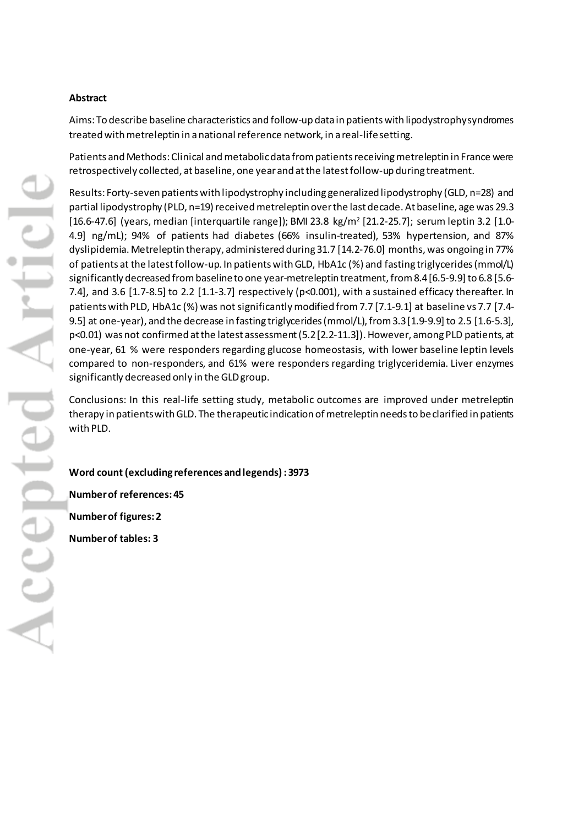## **Abstract**

Aims: To describe baseline characteristics and follow-up data in patientswith lipodystrophy syndromes treated with metreleptin in a national reference network, in a real-life setting.

Patients and Methods: Clinical and metabolic data from patients receiving metreleptin in France were retrospectively collected, at baseline, one year and at the latest follow-up during treatment.

Results: Forty-seven patients with lipodystrophy including generalized lipodystrophy (GLD, n=28) and partial lipodystrophy (PLD, n=19) received metreleptin over the last decade. At baseline, age was 29.3  $[16.6-47.6]$  (years, median [interquartile range]); BMI 23.8 kg/m<sup>2</sup> [21.2-25.7]; serum leptin 3.2 [1.0-4.9] ng/mL); 94% of patients had diabetes (66% insulin-treated), 53% hypertension, and 87% dyslipidemia. Metreleptin therapy, administered during 31.7 [14.2-76.0] months, was ongoing in 77% of patients at the latest follow-up. In patientswith GLD, HbA1c (%) and fasting triglycerides (mmol/L) significantly decreased from baseline to one year-metreleptin treatment, from8.4 [6.5-9.9] to 6.8 [5.6- 7.4], and 3.6 [1.7-8.5] to 2.2 [1.1-3.7] respectively (p<0.001), with a sustained efficacy thereafter. In patients with PLD, HbA1c (%) was not significantly modified from 7.7 [7.1-9.1] at baseline vs 7.7 [7.4-9.5] at one-year), and the decrease in fasting triglycerides(mmol/L), from 3.3 [1.9-9.9] to 2.5 [1.6-5.3], p<0.01) was not confirmed at the latest assessment(5.2[2.2-11.3]).However, among PLD patients, at one-year, 61 % were responders regarding glucose homeostasis, with lower baseline leptin levels compared to non-responders, and 61% were responders regarding triglyceridemia. Liver enzymes significantly decreased only in the GLDgroup.

Conclusions: In this real-life setting study, metabolic outcomes are improved under metreleptin therapy in patients with GLD. The therapeutic indication of metreleptin needs to beclarified in patients with PLD.

**Word count (excluding references and legends) :3973**

**Number of references: 45**

**Number of figures: 2** 

**Number of tables: 3**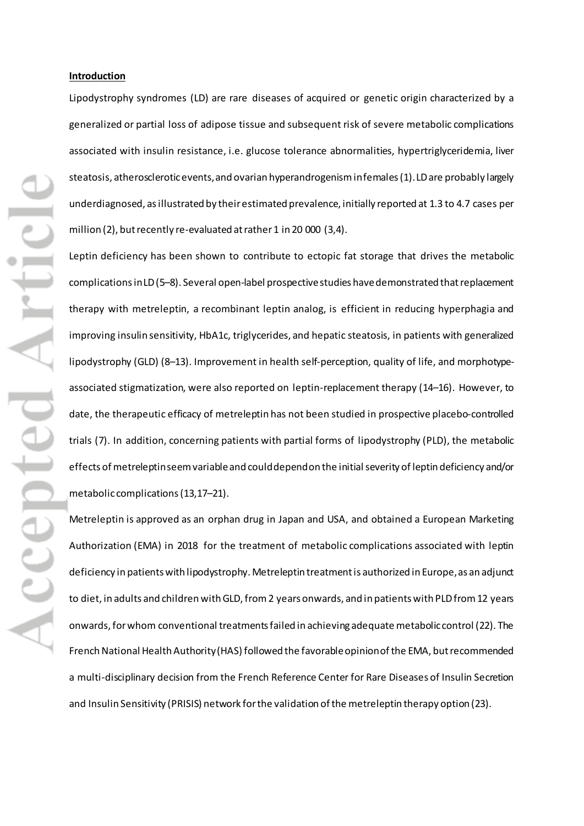#### **Introduction**

Lipodystrophy syndromes (LD) are rare diseases of acquired or genetic origin characterized by a generalized or partial loss of adipose tissue and subsequent risk of severe metabolic complications associated with insulin resistance, i.e. glucose tolerance abnormalities, hypertriglyceridemia, liver steatosis, atherosclerotic events, and ovarian hyperandrogenism in females (1). LD are probably largely underdiagnosed, as illustrated by their estimated prevalence, initially reported at 1.3 to 4.7 cases per million (2), but recently re-evaluated at rather 1 in 20 000 (3,4).

Leptin deficiency has been shown to contribute to ectopic fat storage that drives the metabolic complications in LD(5–8). Several open-label prospective studies have demonstrated thatreplacement therapy with metreleptin, a recombinant leptin analog, is efficient in reducing hyperphagia and improving insulin sensitivity, HbA1c, triglycerides, and hepatic steatosis, in patients with generalized lipodystrophy (GLD) (8–13). Improvement in health self-perception, quality of life, and morphotypeassociated stigmatization, were also reported on leptin-replacement therapy (14–16). However, to date, the therapeutic efficacy of metreleptin has not been studied in prospective placebo-controlled trials (7). In addition, concerning patients with partial forms of lipodystrophy (PLD), the metabolic effects of metreleptin seemvariableand could depend on the initial severity of leptin deficiency and/or metabolic complications (13,17–21).

Metreleptin is approved as an orphan drug in Japan and USA, and obtained a European Marketing Authorization (EMA) in 2018 for the treatment of metabolic complications associated with leptin deficiency in patients with lipodystrophy. Metreleptin treatment is authorized in Europe, as an adjunct to diet, in adults and children with GLD, from 2 years onwards, and in patients with PLD from 12 years onwards,for whom conventional treatments failed in achieving adequate metabolic control (22). The French National Health Authority(HAS) followed the favorable opinion of the EMA, butrecommended a multi-disciplinary decision from the French Reference Center for Rare Diseases of Insulin Secretion and Insulin Sensitivity (PRISIS) network for the validation of the metreleptin therapy option (23).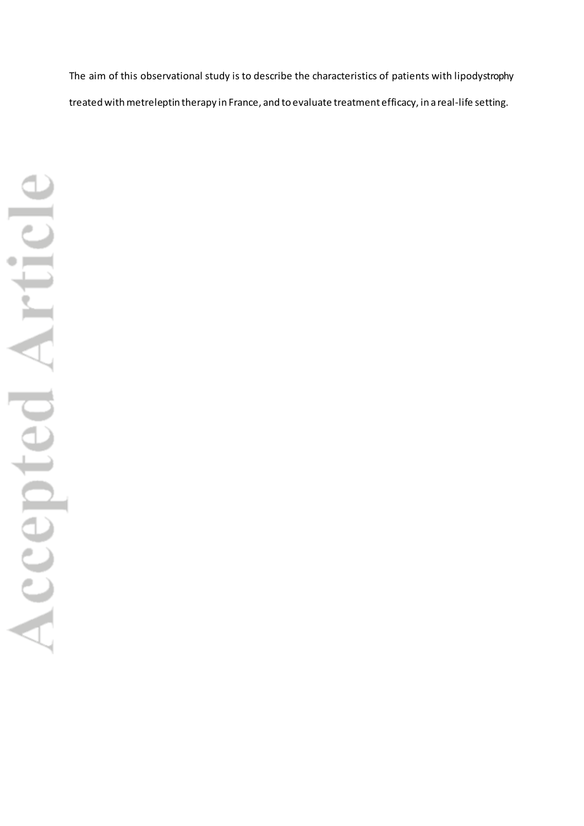The aim of this observational study is to describe the characteristics of patients with lipodystrophy treated with metreleptin therapy in France, and to evaluate treatment efficacy, in a real-life setting.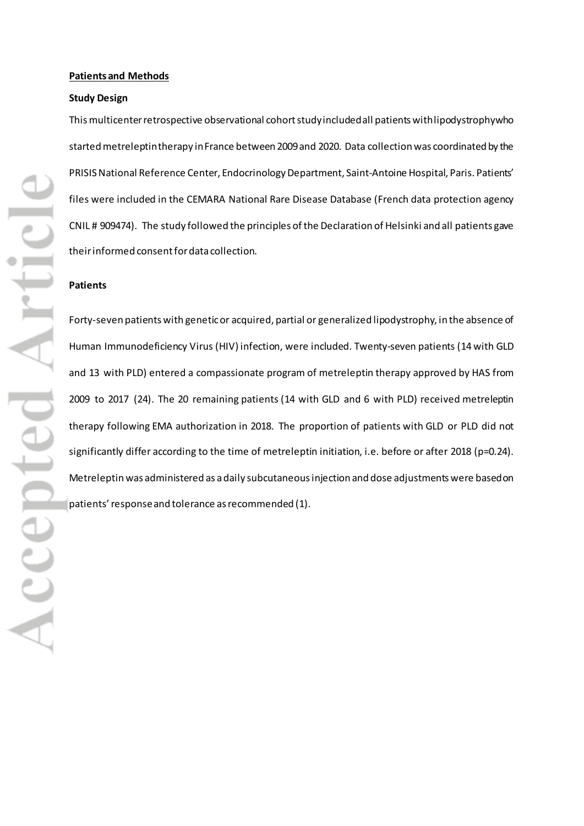#### **Patients and Methods**

#### **Study Design**

This multicenter retrospective observational cohort studyincluded all patientswith lipodystrophy who startedmetreleptintherapy inFrance between 2009 and 2020. Data collection was coordinated by the PRISIS National Reference Center, Endocrinology Department, Saint-Antoine Hospital, Paris. Patients' files were included in the CEMARA National Rare Disease Database (French data protection agency CNIL # 909474). The study followed the principles of the Declaration of Helsinki and all patients gave their informed consentfor data collection.

### **Patients**

Forty-seven patients with genetic or acquired, partial or generalized lipodystrophy, in the absence of Human Immunodeficiency Virus (HIV) infection, were included. Twenty-seven patients (14 with GLD and 13 with PLD) entered a compassionate program of metreleptin therapy approved by HAS from 2009 to 2017 (24). The 20 remaining patients (14 with GLD and 6 with PLD) received metreleptin therapy following EMA authorization in 2018. The proportion of patients with GLD or PLD did not significantly differ according to the time of metreleptin initiation, i.e. before or after 2018 (p=0.24). Metreleptin was administered as a daily subcutaneous injection and dose adjustments were based on patients' response and tolerance as recommended (1).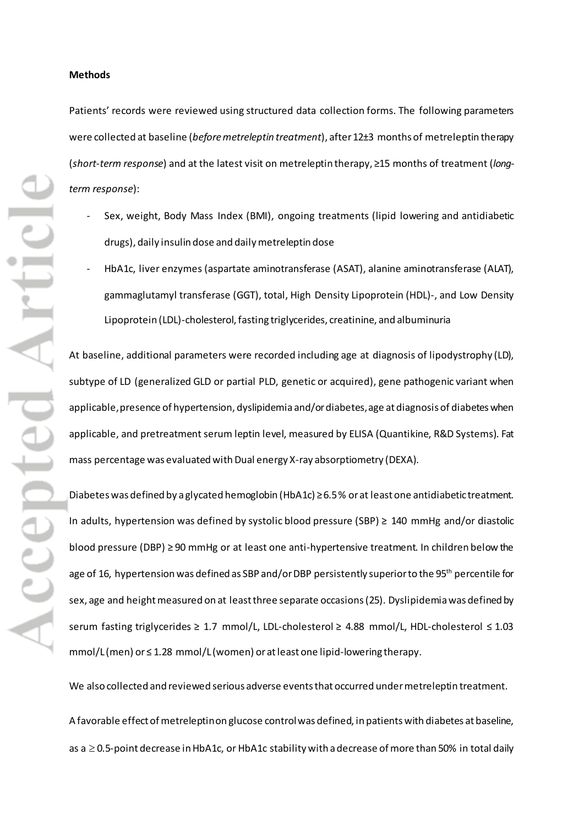#### **Methods**

Patients' records were reviewed using structured data collection forms. The following parameters were collected at baseline (*before metreleptin treatment*), after 12±3 months of metreleptin therapy (*short-term response*) and at the latest visit on metreleptin therapy, ≥15 months of treatment (*longterm response*):

- Sex, weight, Body Mass Index (BMI), ongoing treatments (lipid lowering and antidiabetic drugs), daily insulin dose and daily metreleptin dose
- HbA1c, liver enzymes (aspartate aminotransferase (ASAT), alanine aminotransferase (ALAT), gammaglutamyl transferase (GGT), total, High Density Lipoprotein (HDL)-, and Low Density Lipoprotein (LDL)-cholesterol, fasting triglycerides, creatinine, and albuminuria

At baseline, additional parameters were recorded including age at diagnosis of lipodystrophy (LD), subtype of LD (generalized GLD or partial PLD, genetic or acquired), gene pathogenic variant when applicable, presence of hypertension, dyslipidemia and/or diabetes, age at diagnosis of diabetes when applicable, and pretreatment serum leptin level, measured by ELISA (Quantikine, R&D Systems). Fat mass percentage was evaluated with Dual energy X-ray absorptiometry (DEXA).

Diabetes was defined by a glycated hemoglobin (HbA1c) ≥ 6.5 % or at least one antidiabetic treatment. In adults, hypertension was defined by systolic blood pressure (SBP) ≥ 140 mmHg and/or diastolic blood pressure (DBP) ≥ 90 mmHg or at least one anti-hypertensive treatment. In children below the age of 16, hypertension was defined as SBP and/or DBP persistently superior to the 95<sup>th</sup> percentile for sex, age and height measured on at least three separate occasions(25). Dyslipidemia was defined by serum fasting triglycerides ≥ 1.7 mmol/L, LDL-cholesterol ≥ 4.88 mmol/L, HDL-cholesterol ≤ 1.03 mmol/L (men) or ≤ 1.28 mmol/L (women) orat least one lipid-lowering therapy.

We also collected and reviewed serious adverse events that occurred under metreleptin treatment.

A favorable effect of metreleptin on glucose control was defined, in patients with diabetes at baseline, as a ≥0.5-point decrease in HbA1c, or HbA1c stability with a decrease of more than 50% in total daily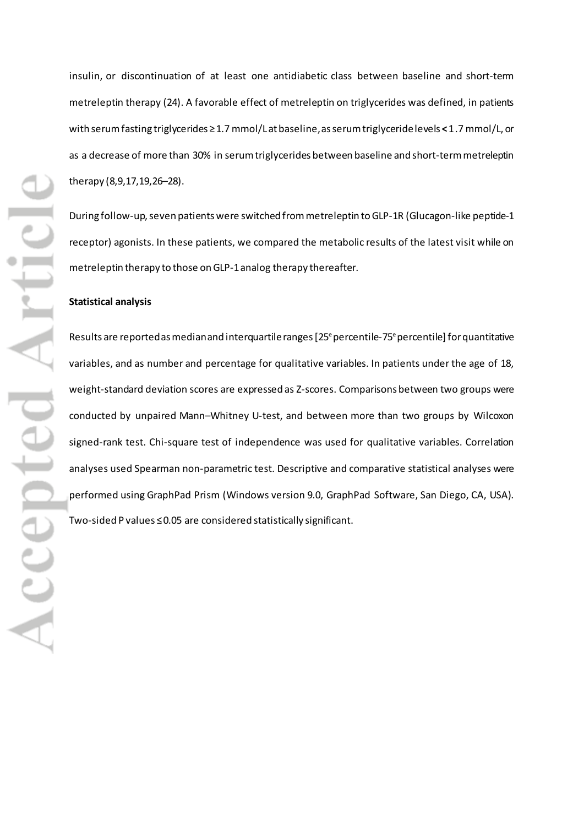therapy (8,9,17,19,26–28). **Statistical analysis**

insulin, or discontinuation of at least one antidiabetic class between baseline and short-term metreleptin therapy (24). A favorable effect of metreleptin on triglycerides was defined, in patients with serum fasting triglycerides ≥1.7 mmol/L at baseline, as serum triglyceride levels **<**1.7 mmol/L, or as a decrease of more than 30% in serum triglycerides between baseline and short-termmetreleptin

During follow-up, seven patients were switched from metreleptin to GLP-1R (Glucagon-like peptide-1 receptor) agonists. In these patients, we compared the metabolic results of the latest visit while on metreleptin therapy to those on GLP-1 analog therapy thereafter.

Results are reported as median and interquartile ranges [25<sup>e</sup> percentile-75<sup>e</sup> percentile] for quantitative variables, and as number and percentage for qualitative variables. In patients under the age of 18, weight-standard deviation scores are expressed as Z-scores. Comparisons between two groups were conducted by unpaired Mann–Whitney U-test, and between more than two groups by Wilcoxon signed-rank test. Chi-square test of independence was used for qualitative variables. Correlation analyses used Spearman non-parametric test. Descriptive and comparative statistical analyses were performed using GraphPad Prism (Windows version 9.0, GraphPad Software, San Diego, CA, USA). Two-sided P values ≤0.05 are considered statistically significant.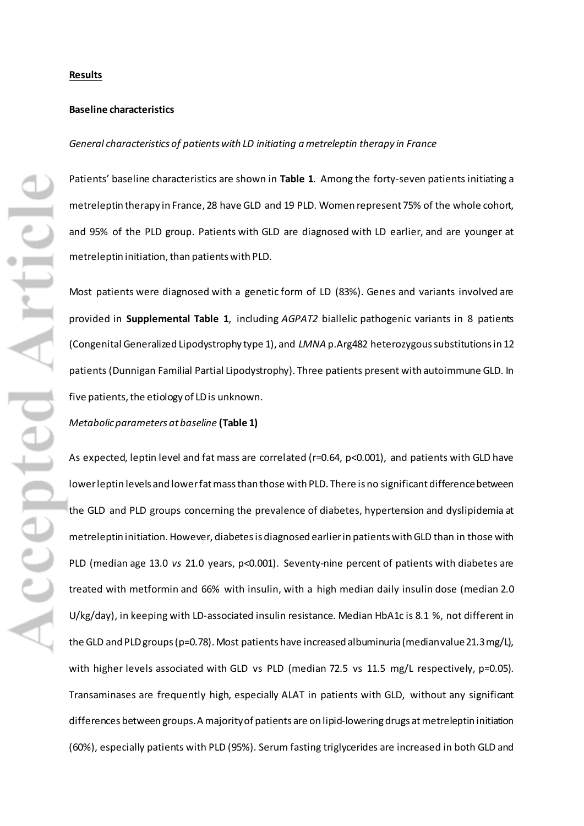#### **Results**

#### **Baseline characteristics**

#### *General characteristics of patients with LD initiating a metreleptin therapy in France*

Patients' baseline characteristics are shown in **Table 1**. Among the forty-seven patients initiating a metreleptin therapy in France, 28 have GLD and 19 PLD. Women represent 75% of the whole cohort, and 95% of the PLD group. Patients with GLD are diagnosed with LD earlier, and are younger at metreleptin initiation, than patients with PLD.

Most patients were diagnosed with a genetic form of LD (83%). Genes and variants involved are provided in **Supplemental Table 1**, including *AGPAT2* biallelic pathogenic variants in 8 patients (Congenital Generalized Lipodystrophy type 1), and *LMNA* p.Arg482 heterozygous substitutionsin 12 patients (Dunnigan Familial Partial Lipodystrophy). Three patients present with autoimmune GLD. In five patients, the etiology of LD is unknown.

#### *Metabolic parameters at baseline* **(Table 1)**

As expected, leptin level and fat mass are correlated (r=0.64, p<0.001), and patients with GLD have lower leptin levels and lower fat mass than those with PLD. There is no significant difference between the GLD and PLD groups concerning the prevalence of diabetes, hypertension and dyslipidemia at metreleptin initiation. However, diabetesis diagnosed earlier in patients with GLD than in those with PLD (median age 13.0 *vs* 21.0 years, p<0.001). Seventy-nine percent of patients with diabetes are treated with metformin and 66% with insulin, with a high median daily insulin dose (median 2.0 U/kg/day), in keeping with LD-associated insulin resistance. Median HbA1c is 8.1 %, not different in the GLD and PLD groups(p=0.78). Most patients have increased albuminuria (median value 21.3mg/L), with higher levels associated with GLD vs PLD (median 72.5 vs 11.5 mg/L respectively, p=0.05). Transaminases are frequently high, especially ALAT in patients with GLD, without any significant differences between groups. A majorityof patients are on lipid-lowering drugs at metreleptin initiation (60%), especially patients with PLD (95%). Serum fasting triglycerides are increased in both GLD and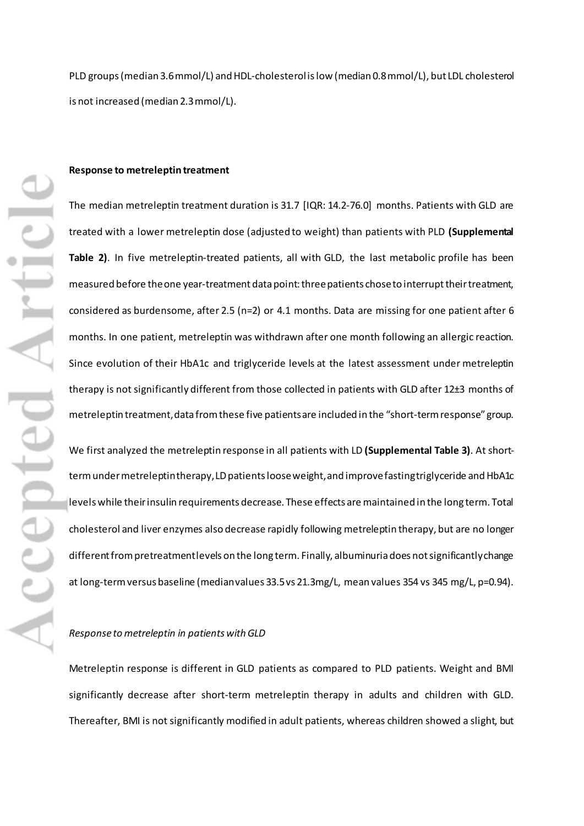PLD groups (median 3.6mmol/L) and HDL-cholesterol is low (median 0.8mmol/L), but LDL cholesterol is not increased (median 2.3mmol/L).

#### **Response to metreleptintreatment**

The median metreleptin treatment duration is 31.7 [IQR: 14.2-76.0] months. Patients with GLD are treated with a lower metreleptin dose (adjusted to weight) than patients with PLD **(Supplemental Table 2)**. In five metreleptin-treated patients, all with GLD, the last metabolic profile has been measured before the one year-treatment data point: three patients chose to interrupt their treatment, considered as burdensome, after 2.5 (n=2) or 4.1 months. Data are missing for one patient after 6 months. In one patient, metreleptin was withdrawn after one month following an allergic reaction. Since evolution of their HbA1c and triglyceride levels at the latest assessment under metreleptin therapy is not significantly different from those collected in patients with GLD after 12±3 months of metreleptin treatment, data from these five patients are included in the "short-termresponse"group.

We first analyzed the metreleptin response in all patients with LD **(Supplemental Table 3)**. At shortterm under metreleptin therapy, LD patients loose weight, and improve fasting triglyceride and HbA1c levelswhile their insulin requirements decrease. These effects are maintained in the long term. Total cholesterol and liver enzymes also decrease rapidly following metreleptin therapy, but are no longer different from pretreatment levels on the long term. Finally, albuminuria does not significantly change at long-term versus baseline (median values 33.5 vs 21.3mg/L, mean values 354 vs 345 mg/L, p=0.94).

#### *Response to metreleptin in patients with GLD*

Metreleptin response is different in GLD patients as compared to PLD patients. Weight and BMI significantly decrease after short-term metreleptin therapy in adults and children with GLD. Thereafter, BMI is not significantly modified in adult patients, whereas children showed a slight, but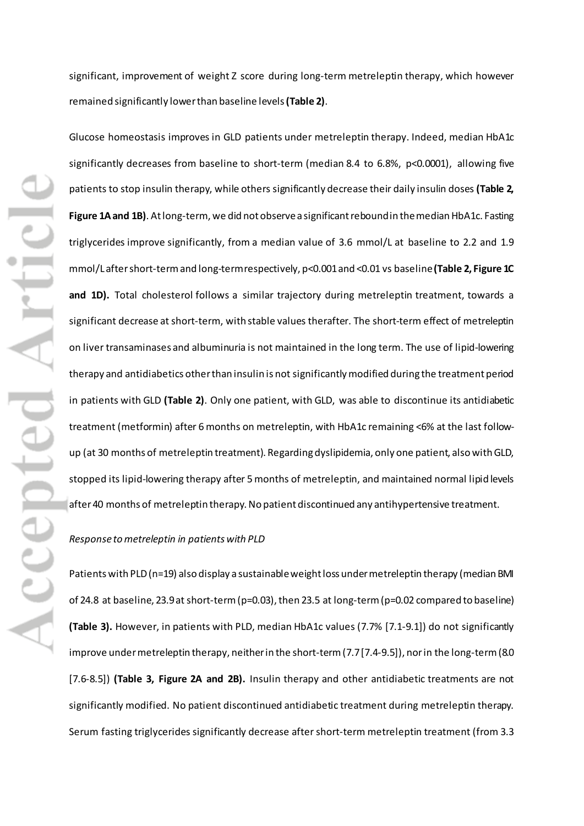significant, improvement of weight Z score during long-term metreleptin therapy, which however remained significantly lower than baseline levels**(Table 2)**.

Glucose homeostasis improves in GLD patients under metreleptin therapy. Indeed, median HbA1c significantly decreases from baseline to short-term (median 8.4 to 6.8%, p<0.0001), allowing five patients to stop insulin therapy, while others significantly decrease their daily insulin doses **(Table 2, Figure 1A and 1B)**. At long-term, we did not observe a significant rebound in the median HbA1c. Fasting triglycerides improve significantly, from a median value of 3.6 mmol/L at baseline to 2.2 and 1.9 mmol/Laftershort-termand long-termrespectively, p<0.001and <0.01 vs baseline**(Table 2, Figure 1C**  and 1D). Total cholesterol follows a similar trajectory during metreleptin treatment, towards a significant decrease at short-term, with stable values therafter. The short-term effect of metreleptin on liver transaminases and albuminuria is not maintained in the long term. The use of lipid-lowering therapy and antidiabetics other than insulin is not significantly modified during the treatment period in patients with GLD **(Table 2)**. Only one patient, with GLD, was able to discontinue its antidiabetic treatment (metformin) after 6 months on metreleptin, with HbA1c remaining <6% at the last followup (at 30 months of metreleptin treatment). Regarding dyslipidemia, only one patient, also with GLD, stopped its lipid-lowering therapy after 5 months of metreleptin, and maintained normal lipid levels after 40 months of metreleptin therapy. No patient discontinued any antihypertensive treatment.

#### *Response to metreleptin in patients with PLD*

Patients with PLD (n=19) also display a sustainable weight loss under metreleptin therapy (median BMI of 24.8 at baseline, 23.9 at short-term(p=0.03), then 23.5 at long-term(p=0.02 compared to baseline) **(Table 3).** However, in patients with PLD, median HbA1c values (7.7% [7.1-9.1]) do not significantly improve under metreleptin therapy, neitherin the short-term(7.7[7.4-9.5]), nor in the long-term(8.0 [7.6-8.5]) **(Table 3, Figure 2A and 2B).** Insulin therapy and other antidiabetic treatments are not significantly modified. No patient discontinued antidiabetic treatment during metreleptin therapy. Serum fasting triglycerides significantly decrease after short-term metreleptin treatment (from 3.3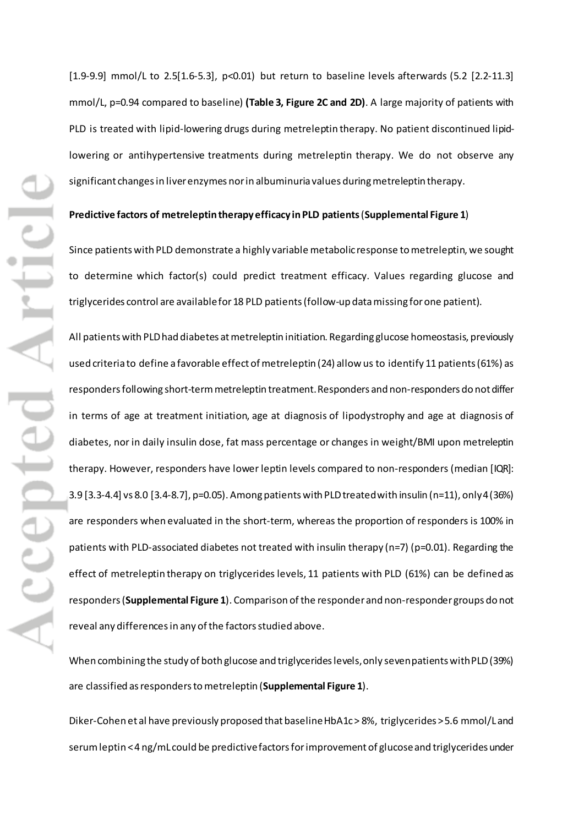[1.9-9.9] mmol/L to 2.5[1.6-5.3], p<0.01) but return to baseline levels afterwards (5.2 [2.2-11.3] mmol/L, p=0.94 compared to baseline) **(Table 3, Figure 2C and 2D)**. A large majority of patients with PLD is treated with lipid-lowering drugs during metreleptin therapy. No patient discontinued lipidlowering or antihypertensive treatments during metreleptin therapy. We do not observe any significant changes in liver enzymes nor in albuminuria values during metreleptin therapy.

#### **Predictive factors of metreleptin therapy efficacy in PLD patients**(**Supplemental Figure 1**)

Since patients with PLD demonstrate a highly variable metabolic response to metreleptin, we sought to determine which factor(s) could predict treatment efficacy. Values regarding glucose and triglycerides control are available for 18 PLD patients(follow-up datamissing for one patient).

All patients with PLD had diabetes at metreleptin initiation. Regarding glucose homeostasis, previously used criteria to define a favorable effect of metreleptin (24) allow us to identify 11 patients (61%) as responders following short-termmetreleptin treatment. Responders and non-responders do not differ in terms of age at treatment initiation, age at diagnosis of lipodystrophy and age at diagnosis of diabetes, nor in daily insulin dose, fat mass percentage or changes in weight/BMI upon metreleptin therapy. However, responders have lower leptin levels compared to non-responders (median [IQR]: 3.9 [3.3-4.4] vs 8.0 [3.4-8.7], p=0.05). Among patients with PLD treated with insulin (n=11), only 4 (36%) are responders when evaluated in the short-term, whereas the proportion of responders is 100% in patients with PLD-associated diabetes not treated with insulin therapy (n=7) (p=0.01). Regarding the effect of metreleptin therapy on triglycerides levels, 11 patients with PLD (61%) can be defined as responders(**Supplemental Figure 1**). Comparison of the responder and non-responder groups do not reveal any differences in any of the factors studied above.

When combining the study of both glucose and triglycerides levels, only sevenpatients with PLD (39%) are classified as respondersto metreleptin (**Supplemental Figure 1**).

Diker-Cohen et al have previously proposed that baseline HbA1c > 8%, triglycerides > 5.6 mmol/L and serum leptin < 4 ng/mL could be predictive factors for improvement of glucose and triglycerides under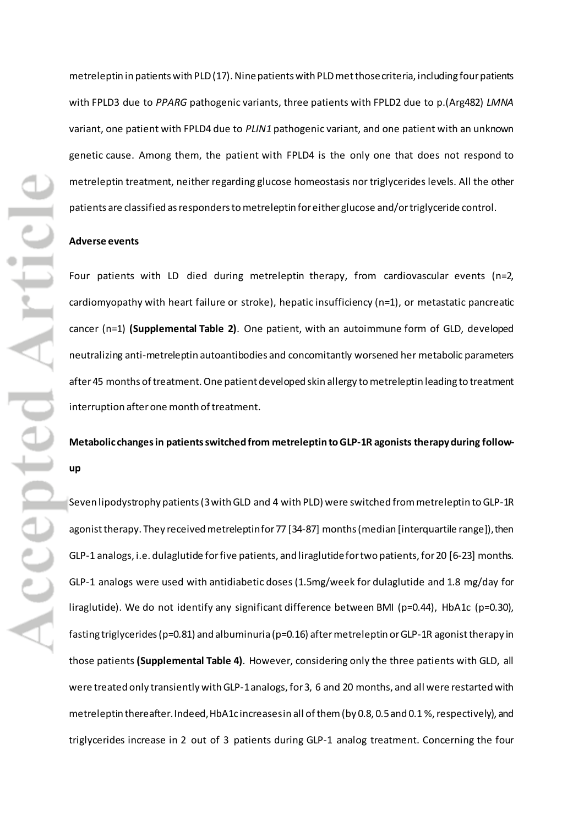metreleptin in patients with PLD (17). Ninepatients with PLDmet those criteria, including fourpatients with FPLD3 due to *PPARG* pathogenic variants, three patients with FPLD2 due to p.(Arg482) *LMNA* variant, one patient with FPLD4 due to *PLIN1* pathogenic variant, and one patient with an unknown genetic cause. Among them, the patient with FPLD4 is the only one that does not respond to metreleptin treatment, neither regarding glucose homeostasis nor triglycerides levels. All the other patients are classified as responders to metreleptin for either glucose and/or triglyceride control.

### **Adverse events**

Four patients with LD died during metreleptin therapy, from cardiovascular events (n=2, cardiomyopathy with heart failure or stroke), hepatic insufficiency (n=1), or metastatic pancreatic cancer (n=1) **(Supplemental Table 2)**. One patient, with an autoimmune form of GLD, developed neutralizing anti-metreleptin autoantibodies and concomitantly worsened her metabolic parameters after 45 months of treatment. One patient developed skin allergy to metreleptin leading to treatment interruption after one month of treatment.

## **Metabolic changes in patients switched from metreleptin to GLP-1R agonists therapyduring followup**

Seven lipodystrophy patients (3 with GLD and 4 with PLD) were switched from metreleptin to GLP-1R agonist therapy. They received metreleptin for 77 [34-87] months (median [interquartile range]), then GLP-1 analogs, i.e. dulaglutide for five patients, and liraglutide for two patients, for 20 [6-23] months. GLP-1 analogs were used with antidiabetic doses (1.5mg/week for dulaglutide and 1.8 mg/day for liraglutide). We do not identify any significant difference between BMI (p=0.44), HbA1c (p=0.30), fasting triglycerides (p=0.81) and albuminuria (p=0.16) after metreleptin or GLP-1R agonist therapy in those patients **(Supplemental Table 4)**. However, considering only the three patients with GLD, all were treated only transiently with GLP-1 analogs, for 3, 6 and 20 months, and all were restarted with metreleptin thereafter. Indeed, HbA1c increases in all of them (by 0.8, 0.5 and 0.1 %, respectively), and triglycerides increase in 2 out of 3 patients during GLP-1 analog treatment. Concerning the four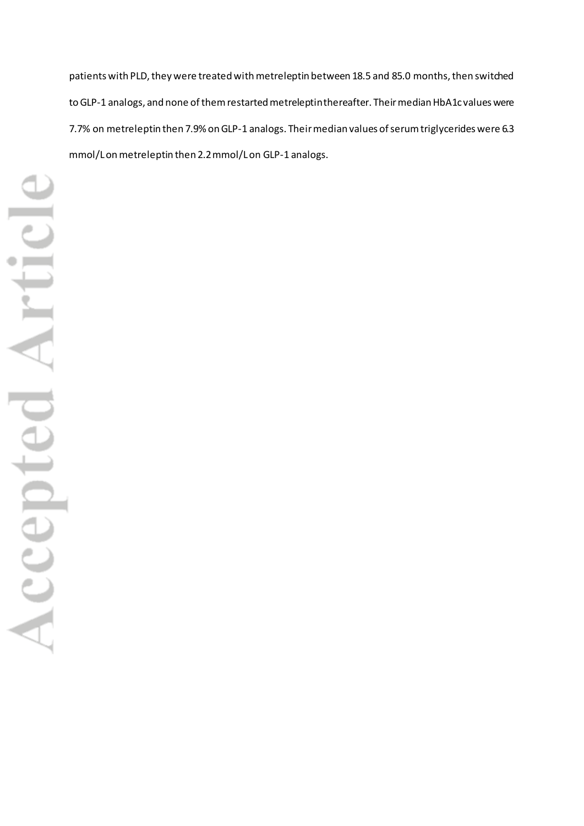patients with PLD, they were treated with metreleptin between 18.5 and 85.0 months, then switched to GLP-1 analogs, and none of themrestarted metreleptin thereafter. Their median HbA1c values were 7.7% on metreleptin then 7.9% on GLP-1 analogs. Their median values of serum triglycerides were 6.3 mmol/L on metreleptin then 2.2 mmol/L on GLP-1 analogs.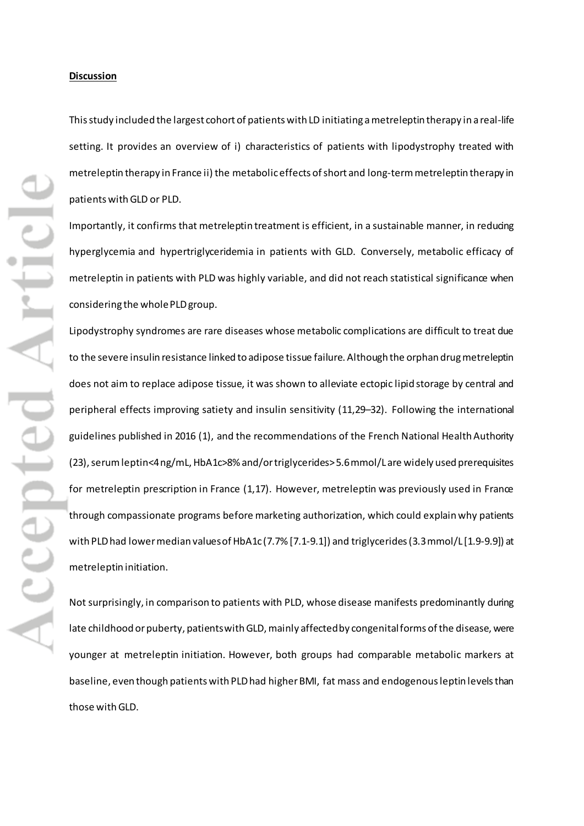#### **Discussion**

This study included the largest cohort of patients with LD initiating a metreleptin therapy in a real-life setting. It provides an overview of i) characteristics of patients with lipodystrophy treated with metreleptin therapy in France ii) the metabolic effects of short and long-term metreleptin therapy in patients withGLD or PLD.

Importantly, it confirms that metreleptin treatment is efficient, in a sustainable manner, in reducing hyperglycemia and hypertriglyceridemia in patients with GLD. Conversely, metabolic efficacy of metreleptin in patients with PLD was highly variable, and did not reach statistical significance when considering the whole PLD group.

Lipodystrophy syndromes are rare diseases whose metabolic complications are difficult to treat due to the severe insulin resistance linked to adipose tissue failure. Although the orphan drug metreleptin does not aim to replace adipose tissue, it was shown to alleviate ectopic lipid storage by central and peripheral effects improving satiety and insulin sensitivity (11,29–32). Following the international guidelines published in 2016 (1), and the recommendations of the French National Health Authority (23), serum leptin<4 ng/mL, HbA1c>8% and/or triglycerides> 5.6 mmol/Lare widely used prerequisites for metreleptin prescription in France (1,17). However, metreleptin was previously used in France through compassionate programs before marketing authorization, which could explain why patients with PLD had lower median values of HbA1c (7.7% [7.1-9.1]) and triglycerides (3.3 mmol/L [1.9-9.9]) at metreleptin initiation.

Not surprisingly, in comparison to patients with PLD, whose disease manifests predominantly during late childhood or puberty, patients with GLD, mainly affected by congenital forms of the disease, were younger at metreleptin initiation. However, both groups had comparable metabolic markers at baseline, even though patients with PLD had higher BMI, fat mass and endogenous leptin levels than those with GLD.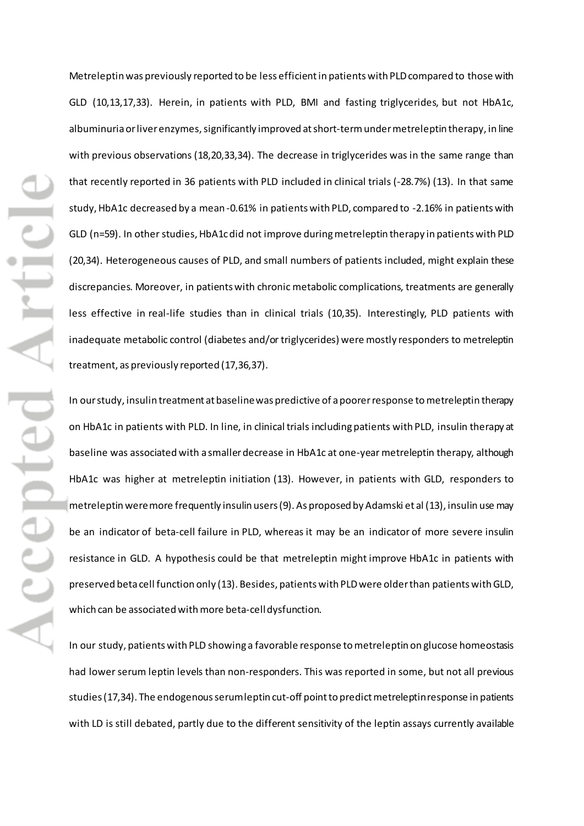Metreleptinwas previously reported to be less efficient in patients with PLDcompared to those with GLD (10,13,17,33). Herein, in patients with PLD, BMI and fasting triglycerides, but not HbA1c, albuminuria or liver enzymes, significantly improved at short-term under metreleptin therapy, in line with previous observations (18,20,33,34). The decrease in triglycerides was in the same range than that recently reported in 36 patients with PLD included in clinical trials (-28.7%) (13). In that same study, HbA1c decreased by a mean -0.61% in patients with PLD, compared to -2.16% in patients with GLD (n=59). In other studies, HbA1c did not improve during metreleptin therapy in patients with PLD (20,34). Heterogeneous causes of PLD, and small numbers of patients included, might explain these discrepancies. Moreover, in patients with chronic metabolic complications, treatments are generally less effective in real-life studies than in clinical trials (10,35). Interestingly, PLD patients with inadequate metabolic control (diabetes and/or triglycerides) were mostly responders to metreleptin treatment, as previously reported (17,36,37).

In our study, insulin treatment at baseline was predictive of a poorer response to metreleptin therapy on HbA1c in patients with PLD. In line, in clinical trials including patients with PLD, insulin therapy at baseline was associated with asmallerdecrease in HbA1c at one-year metreleptin therapy, although HbA1c was higher at metreleptin initiation (13). However, in patients with GLD, responders to metreleptin were more frequently insulin users (9). As proposed by Adamski et al (13), insulin use may be an indicator of beta-cell failure in PLD, whereas it may be an indicator of more severe insulin resistance in GLD. A hypothesis could be that metreleptin might improve HbA1c in patients with preserved beta cell function only (13). Besides, patients with PLD were older than patients with GLD, which can be associated with more beta-cell dysfunction.

In our study, patients with PLD showing a favorable response to metreleptin on glucose homeostasis had lower serum leptin levels than non-responders. This was reported in some, but not all previous studies (17,34). The endogenous serum leptin cut-off point to predict metreleptin response in patients with LD is still debated, partly due to the different sensitivity of the leptin assays currently available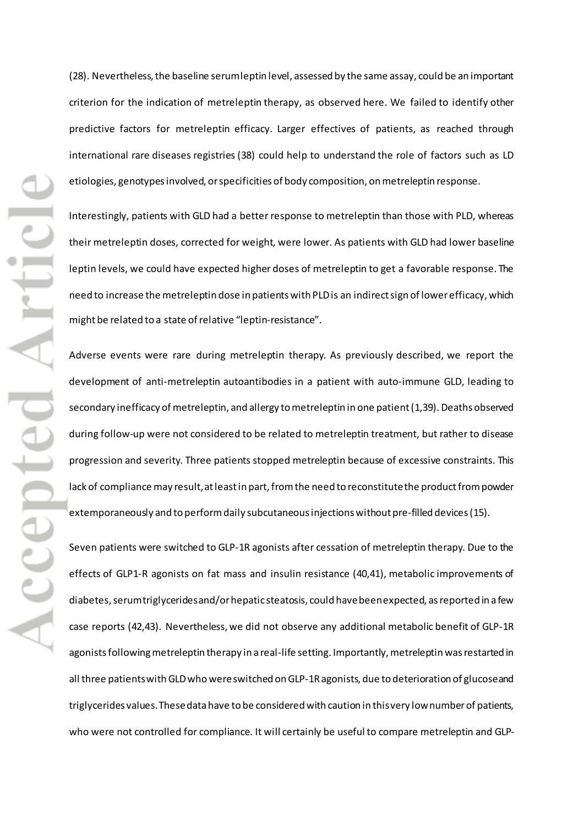ODENTA) Accepte

(28). Nevertheless, the baseline serum leptin level, assessed by the same assay, could be an important criterion for the indication of metreleptin therapy, as observed here. We failed to identify other predictive factors for metreleptin efficacy. Larger effectives of patients, as reached through international rare diseases registries (38) could help to understand the role of factors such as LD etiologies, genotypesinvolved, or specificities of body composition, on metreleptin response.

Interestingly, patients with GLD had a better response to metreleptin than those with PLD, whereas their metreleptin doses, corrected for weight, were lower. As patients with GLD had lower baseline leptin levels, we could have expected higher doses of metreleptin to get a favorable response. The need to increase the metreleptin dose in patients with PLD is an indirect sign of lower efficacy, which might be related to a state of relative "leptin-resistance".

Adverse events were rare during metreleptin therapy. As previously described, we report the development of anti-metreleptin autoantibodies in a patient with auto-immune GLD, leading to secondary inefficacy of metreleptin, and allergy to metreleptin in one patient(1,39). Deaths observed during follow-up were not considered to be related to metreleptin treatment, but rather to disease progression and severity. Three patients stopped metreleptin because of excessive constraints. This lack of compliance may result, at least in part, from the need to reconstitute the product from powder extemporaneously and to perform daily subcutaneous injections without pre-filled devices (15).

Seven patients were switched to GLP-1R agonists after cessation of metreleptin therapy. Due to the effects of GLP1-R agonists on fat mass and insulin resistance (40,41), metabolic improvements of diabetes, serum triglyceridesand/or hepatic steatosis, could have been expected, as reported in a few case reports (42,43). Nevertheless, we did not observe any additional metabolic benefit of GLP-1R agonistsfollowing metreleptin therapy in a real-life setting. Importantly, metreleptin was restarted in all three patients with GLD who were switched on GLP-1Ragonists, due to deterioration of glucose and triglycerides values. These data have to be considered with caution in thisvery low number of patients, who were not controlled for compliance. It will certainly be useful to compare metreleptin and GLP-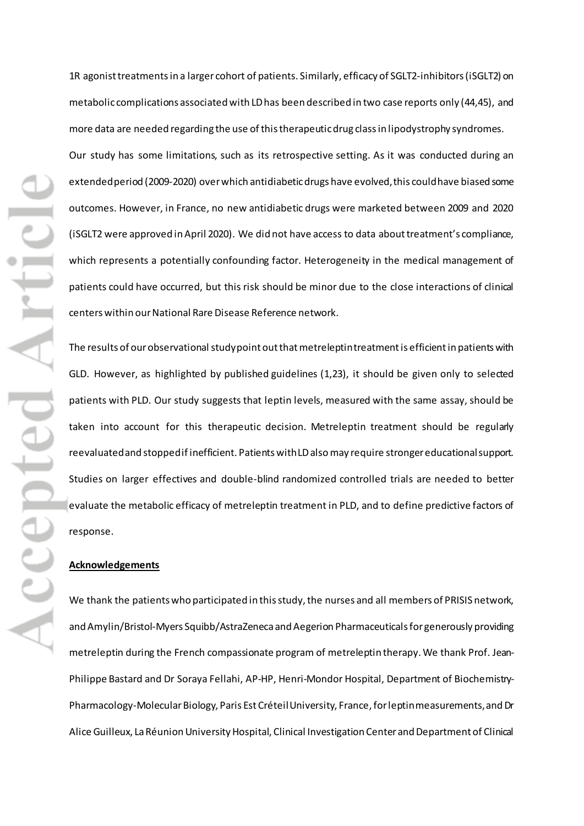Accepted Artic

1R agonist treatments in a larger cohort of patients. Similarly, efficacy of SGLT2-inhibitors (iSGLT2) on metabolic complications associated with LD has been described in two case reports only (44,45), and more data are needed regarding the use of this therapeutic drug class in lipodystrophy syndromes. Our study has some limitations, such as its retrospective setting. As it was conducted during an extended period (2009-2020) over which antidiabetic drugs have evolved,this could have biased some outcomes. However, in France, no new antidiabetic drugs were marketed between 2009 and 2020 (iSGLT2 were approved in April 2020). We did not have access to data about treatment's compliance, which represents a potentially confounding factor. Heterogeneity in the medical management of patients could have occurred, but this risk should be minor due to the close interactions of clinical centers within our National Rare Disease Reference network.

The results of our observational study point out that metreleptin treatment is efficient in patients with GLD. However, as highlighted by published guidelines (1,23), it should be given only to selected patients with PLD. Our study suggests that leptin levels, measured with the same assay, should be taken into account for this therapeutic decision. Metreleptin treatment should be regularly reevaluatedand stopped if inefficient. Patients with LD also may require stronger educational support. Studies on larger effectives and double-blind randomized controlled trials are needed to better evaluate the metabolic efficacy of metreleptin treatment in PLD, and to define predictive factors of response.

## **Acknowledgements**

We thank the patients who participated in this study, the nurses and all members of PRISIS network, and Amylin/Bristol-Myers Squibb/AstraZeneca and Aegerion Pharmaceuticals for generously providing metreleptin during the French compassionate program of metreleptin therapy. We thank Prof. Jean-Philippe Bastard and Dr Soraya Fellahi, AP-HP, Henri-Mondor Hospital, Department of Biochemistry-Pharmacology-Molecular Biology, Paris Est CréteilUniversity, France, for leptin measurements, and Dr Alice Guilleux, La Réunion University Hospital, Clinical Investigation Center and Department of Clinical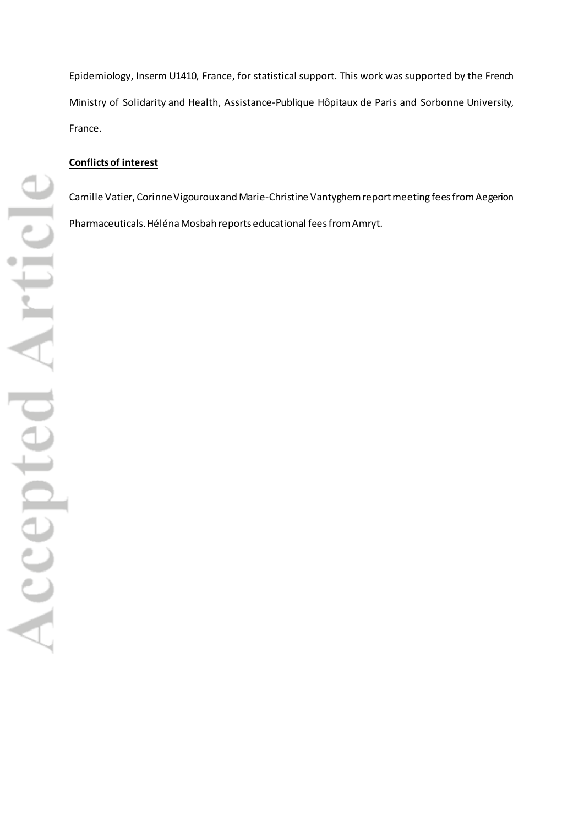Epidemiology, Inserm U1410, France, for statistical support. This work was supported by the French Ministry of Solidarity and Health, Assistance-Publique Hôpitaux de Paris and Sorbonne University, France.

## **Conflictsof interest**

Camille Vatier, Corinne Vigourouxand Marie-Christine Vantyghem report meeting fees from Aegerion Pharmaceuticals.Héléna Mosbah reports educational fees from Amryt.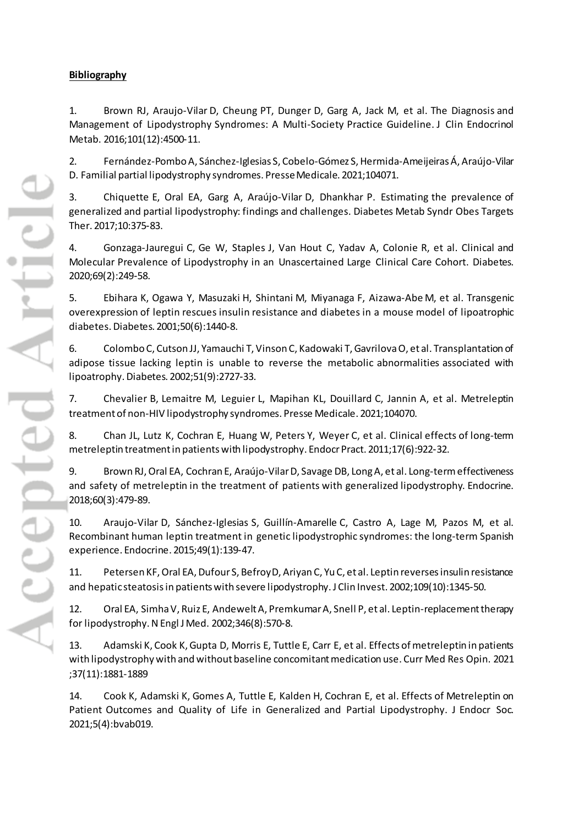## **Bibliography**

1. Brown RJ, Araujo-Vilar D, Cheung PT, Dunger D, Garg A, Jack M, et al. The Diagnosis and Management of Lipodystrophy Syndromes: A Multi-Society Practice Guideline. J Clin Endocrinol Metab. 2016;101(12):4500-11.

2. Fernández-Pombo A, Sánchez-Iglesias S, Cobelo-Gómez S, Hermida-Ameijeiras Á, Araújo-Vilar D. Familial partial lipodystrophy syndromes. Presse Medicale. 2021;104071.

3. Chiquette E, Oral EA, Garg A, Araújo-Vilar D, Dhankhar P. Estimating the prevalence of generalized and partial lipodystrophy: findings and challenges. Diabetes Metab Syndr Obes Targets Ther. 2017;10:375‑83.

4. Gonzaga-Jauregui C, Ge W, Staples J, Van Hout C, Yadav A, Colonie R, et al. Clinical and Molecular Prevalence of Lipodystrophy in an Unascertained Large Clinical Care Cohort. Diabetes. 2020;69(2):249‑58.

5. Ebihara K, Ogawa Y, Masuzaki H, Shintani M, Miyanaga F, Aizawa-Abe M, et al. Transgenic overexpression of leptin rescues insulin resistance and diabetes in a mouse model of lipoatrophic diabetes. Diabetes. 2001;50(6):1440‑8.

6. Colombo C, Cutson JJ, Yamauchi T, Vinson C, Kadowaki T, Gavrilova O, et al. Transplantation of adipose tissue lacking leptin is unable to reverse the metabolic abnormalities associated with lipoatrophy. Diabetes. 2002;51(9):2727‑33.

7. Chevalier B, Lemaitre M, Leguier L, Mapihan KL, Douillard C, Jannin A, et al. Metreleptin treatment of non-HIV lipodystrophy syndromes. Presse Medicale. 2021;104070.

8. Chan JL, Lutz K, Cochran E, Huang W, Peters Y, Weyer C, et al. Clinical effects of long-term metreleptin treatment in patients with lipodystrophy. Endocr Pract. 2011;17(6):922‑32.

9. Brown RJ, Oral EA, Cochran E, Araújo-Vilar D, Savage DB, Long A, et al. Long-term effectiveness and safety of metreleptin in the treatment of patients with generalized lipodystrophy. Endocrine. 2018;60(3):479‑89.

10. Araujo-Vilar D, Sánchez-Iglesias S, Guillín-Amarelle C, Castro A, Lage M, Pazos M, et al. Recombinant human leptin treatment in genetic lipodystrophic syndromes: the long-term Spanish experience. Endocrine. 2015;49(1):139‑47.

11. Petersen KF, Oral EA, Dufour S, Befroy D, Ariyan C, Yu C, et al. Leptin reverses insulin resistance and hepatic steatosis in patients with severe lipodystrophy. J Clin Invest. 2002;109(10):1345-50.

12. Oral EA, Simha V, Ruiz E, Andewelt A, Premkumar A, Snell P, et al. Leptin-replacement therapy for lipodystrophy. N Engl J Med. 2002;346(8):570‑8.

13. Adamski K, Cook K, Gupta D, Morris E, Tuttle E, Carr E, et al. Effects of metreleptin in patients with lipodystrophy with and without baseline concomitant medication use. Curr Med Res Opin. 2021 ;37(11):1881-1889

14. Cook K, Adamski K, Gomes A, Tuttle E, Kalden H, Cochran E, et al. Effects of Metreleptin on Patient Outcomes and Quality of Life in Generalized and Partial Lipodystrophy. J Endocr Soc. 2021;5(4):bvab019.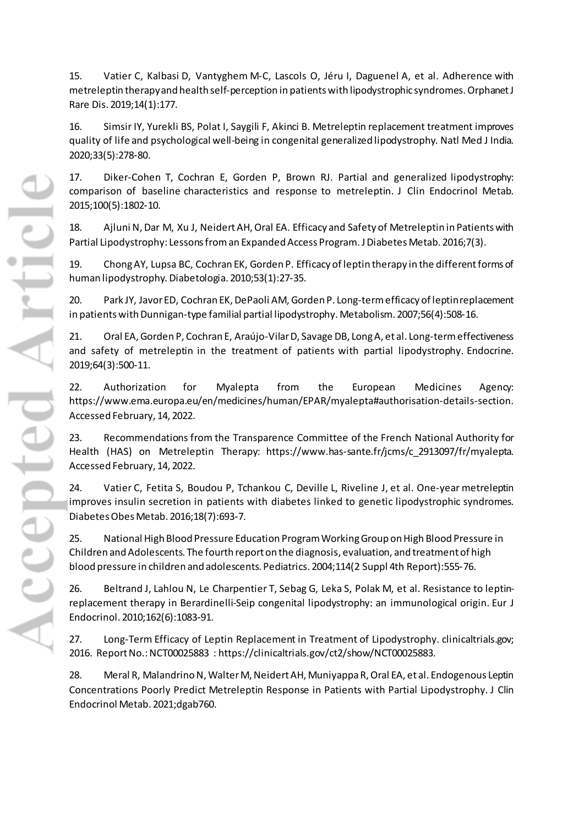15. Vatier C, Kalbasi D, Vantyghem M-C, Lascols O, Jéru I, Daguenel A, et al. Adherence with metreleptin therapy and health self-perception in patients with lipodystrophic syndromes. Orphanet J Rare Dis. 2019;14(1):177.

16. Simsir IY, Yurekli BS, Polat I, Saygili F, Akinci B. Metreleptin replacement treatment improves quality of life and psychological well-being in congenital generalized lipodystrophy. Natl Med J India. 2020;33(5):278‑80.

17. Diker-Cohen T, Cochran E, Gorden P, Brown RJ. Partial and generalized lipodystrophy: comparison of baseline characteristics and response to metreleptin. J Clin Endocrinol Metab. 2015;100(5):1802‑10.

18. Ajluni N, Dar M, Xu J, Neidert AH, Oral EA. Efficacy and Safety of Metreleptin in Patients with Partial Lipodystrophy: Lessons from an Expanded Access Program. J Diabetes Metab. 2016;7(3).

19. Chong AY, Lupsa BC, Cochran EK, Gorden P. Efficacy of leptin therapy in the different forms of human lipodystrophy. Diabetologia. 2010;53(1):27‑35.

20. Park JY, Javor ED, Cochran EK, DePaoli AM, Gorden P. Long-term efficacy of leptin replacement in patients with Dunnigan-type familial partial lipodystrophy. Metabolism. 2007;56(4):508‑16.

21. Oral EA, Gorden P, Cochran E, Araújo-Vilar D, Savage DB, Long A, et al. Long-term effectiveness and safety of metreleptin in the treatment of patients with partial lipodystrophy. Endocrine. 2019;64(3):500‑11.

22. Authorization for Myalepta from the European Medicines Agency: https://www.ema.europa.eu/en/medicines/human/EPAR/myalepta#authorisation-details-section. Accessed February, 14, 2022.

23. Recommendations from the Transparence Committee of the French National Authority for Health (HAS) on Metreleptin Therapy: https://www.has-sante.fr/jcms/c\_2913097/fr/myalepta. Accessed February, 14, 2022.

24. Vatier C, Fetita S, Boudou P, Tchankou C, Deville L, Riveline J, et al. One-year metreleptin improves insulin secretion in patients with diabetes linked to genetic lipodystrophic syndromes. Diabetes Obes Metab. 2016;18(7):693‑7.

25. National High Blood Pressure Education Program Working Group on High Blood Pressure in Children and Adolescents. The fourth report on the diagnosis, evaluation, and treatment of high blood pressure in children and adolescents. Pediatrics. 2004;114(2 Suppl 4th Report):555‑76.

26. Beltrand J, Lahlou N, Le Charpentier T, Sebag G, Leka S, Polak M, et al. Resistance to leptinreplacement therapy in Berardinelli-Seip congenital lipodystrophy: an immunological origin. Eur J Endocrinol. 2010;162(6):1083‑91.

27. Long-Term Efficacy of Leptin Replacement in Treatment of Lipodystrophy. clinicaltrials.gov; 2016. Report No.: NCT00025883 : https://clinicaltrials.gov/ct2/show/NCT00025883.

28. Meral R, Malandrino N, Walter M, Neidert AH, Muniyappa R, Oral EA, et al. Endogenous Leptin Concentrations Poorly Predict Metreleptin Response in Patients with Partial Lipodystrophy. J Clin Endocrinol Metab. 2021;dgab760.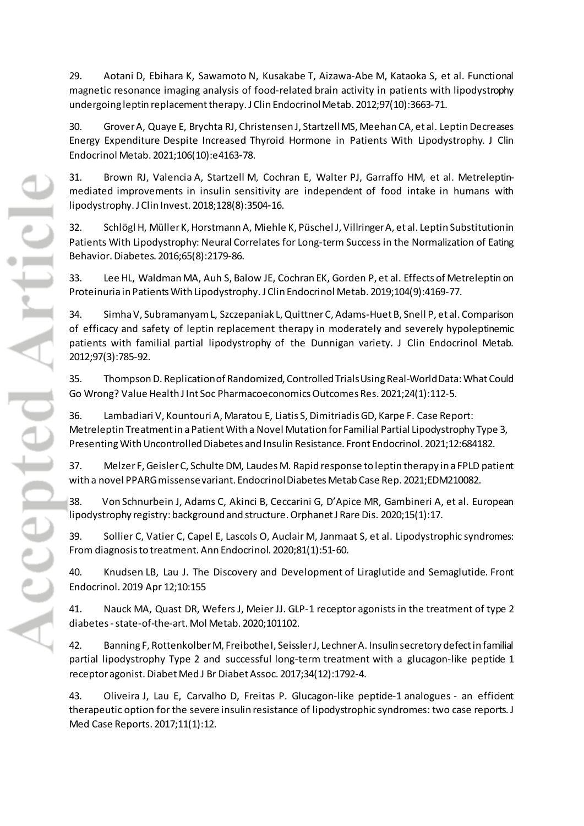29. Aotani D, Ebihara K, Sawamoto N, Kusakabe T, Aizawa-Abe M, Kataoka S, et al. Functional magnetic resonance imaging analysis of food-related brain activity in patients with lipodystrophy undergoing leptin replacement therapy. J Clin Endocrinol Metab. 2012;97(10):3663-71.

30. Grover A, Quaye E, Brychta RJ, Christensen J, Startzell MS, Meehan CA, et al. Leptin Decreases Energy Expenditure Despite Increased Thyroid Hormone in Patients With Lipodystrophy. J Clin Endocrinol Metab. 2021;106(10):e4163‑78.

31. Brown RJ, Valencia A, Startzell M, Cochran E, Walter PJ, Garraffo HM, et al. Metreleptinmediated improvements in insulin sensitivity are independent of food intake in humans with lipodystrophy. J Clin Invest. 2018;128(8):3504‑16.

32. Schlögl H, Müller K, Horstmann A, Miehle K, Püschel J, Villringer A, et al. Leptin Substitution in Patients With Lipodystrophy: Neural Correlates for Long-term Success in the Normalization of Eating Behavior. Diabetes. 2016;65(8):2179‑86.

33. Lee HL, Waldman MA, Auh S, Balow JE, Cochran EK, Gorden P, et al. Effects of Metreleptin on Proteinuria in Patients With Lipodystrophy. J Clin Endocrinol Metab. 2019;104(9):4169‑77.

34. Simha V, Subramanyam L, Szczepaniak L, Quittner C, Adams-Huet B, Snell P, et al. Comparison of efficacy and safety of leptin replacement therapy in moderately and severely hypoleptinemic patients with familial partial lipodystrophy of the Dunnigan variety. J Clin Endocrinol Metab. 2012;97(3):785‑92.

35. Thompson D. Replication of Randomized, Controlled Trials Using Real-World Data: What Could Go Wrong? Value Health J Int Soc Pharmacoeconomics Outcomes Res. 2021;24(1):112‑5.

36. Lambadiari V, Kountouri A, Maratou E, Liatis S, Dimitriadis GD, Karpe F. Case Report: Metreleptin Treatment in a Patient With a Novel Mutation for Familial Partial Lipodystrophy Type 3, Presenting With Uncontrolled Diabetes and Insulin Resistance. Front Endocrinol. 2021;12:684182.

37. Melzer F, Geisler C, Schulte DM, Laudes M. Rapid response to leptin therapy in a FPLD patient with a novel PPARG missense variant. Endocrinol Diabetes Metab Case Rep. 2021;EDM210082.

38.Von Schnurbein J, Adams C, Akinci B, Ceccarini G, D'Apice MR, Gambineri A, et al. European lipodystrophy registry: background and structure. Orphanet J Rare Dis. 2020;15(1):17.

39. Sollier C, Vatier C, Capel E, Lascols O, Auclair M, Janmaat S, et al. Lipodystrophic syndromes: From diagnosis to treatment. Ann Endocrinol. 2020;81(1):51‑60.

40. Knudsen LB, Lau J. The Discovery and Development of Liraglutide and Semaglutide. Front Endocrinol. 2019 Apr 12;10:155

41. Nauck MA, Quast DR, Wefers J, Meier JJ. GLP-1 receptor agonists in the treatment of type 2 diabetes -state-of-the-art. Mol Metab. 2020;101102.

42. Banning F, Rottenkolber M, Freibothe I, Seissler J, Lechner A. Insulin secretory defect in familial partial lipodystrophy Type 2 and successful long-term treatment with a glucagon-like peptide 1 receptor agonist. Diabet Med J Br Diabet Assoc. 2017;34(12):1792‑4.

43. Oliveira J, Lau E, Carvalho D, Freitas P. Glucagon-like peptide-1 analogues - an efficient therapeutic option for the severe insulin resistance of lipodystrophic syndromes: two case reports. J Med Case Reports. 2017;11(1):12.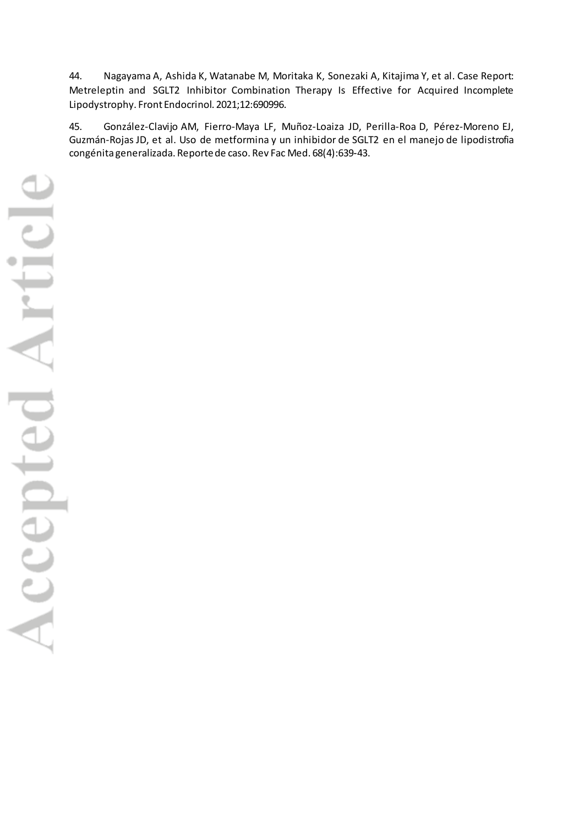44. Nagayama A, Ashida K, Watanabe M, Moritaka K, Sonezaki A, Kitajima Y, et al. Case Report: Metreleptin and SGLT2 Inhibitor Combination Therapy Is Effective for Acquired Incomplete Lipodystrophy. Front Endocrinol. 2021;12:690996.

45. González-Clavijo AM, Fierro-Maya LF, Muñoz-Loaiza JD, Perilla-Roa D, Pérez-Moreno EJ, Guzmán-Rojas JD, et al. Uso de metformina y un inhibidor de SGLT2 en el manejo de lipodistrofia congénita generalizada. Reporte de caso. Rev Fac Med. 68(4):639‑43.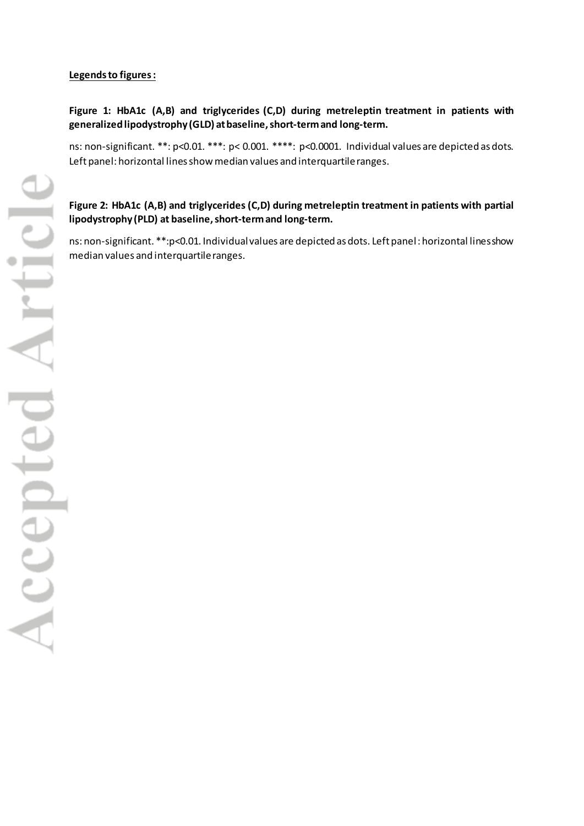## **Legends to figures:**

## **Figure 1: HbA1c (A,B) and triglycerides (C,D) during metreleptin treatment in patients with generalized lipodystrophy (GLD) at baseline, short-term and long-term.**

ns: non-significant. \*\*: p<0.01. \*\*\*: p< 0.001. \*\*\*\*: p<0.0001. Individual values are depicted as dots. Left panel: horizontal lines show median values and interquartile ranges.

## **Figure 2: HbA1c (A,B) and triglycerides (C,D) during metreleptin treatment in patients with partial lipodystrophy (PLD) at baseline, short-term and long-term.**

ns: non-significant. \*\*:p<0.01. Individual values are depicted as dots. Left panel : horizontal lines show median values and interquartile ranges.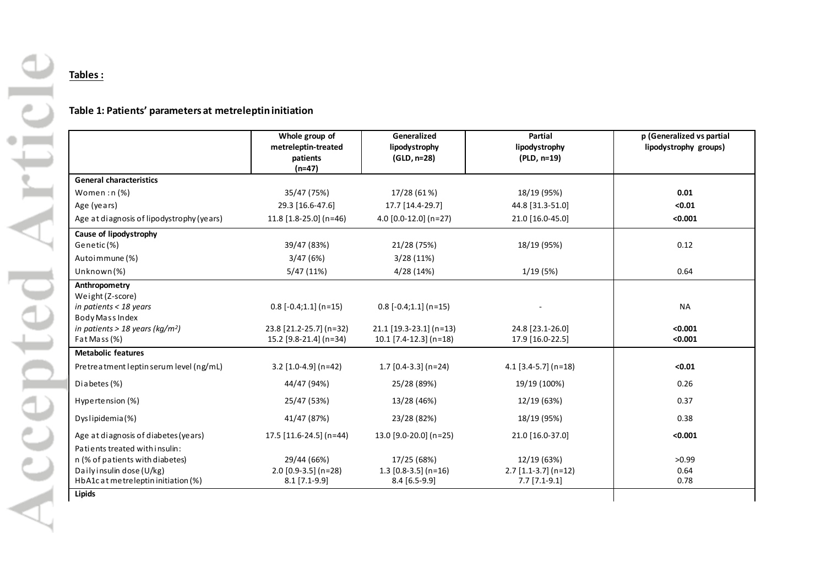## **Tables :**

## **Table 1: Patients' parameters at metreleptin initiation**

|                                                                  | Whole group of<br>metreleptin-treated     | Generalized<br>lipodystrophy              | Partial<br>lipodystrophy                  | p (Generalized vs partial<br>lipodystrophy groups) |
|------------------------------------------------------------------|-------------------------------------------|-------------------------------------------|-------------------------------------------|----------------------------------------------------|
|                                                                  | patients<br>$(n=47)$                      | (GLD, n=28)                               | (PLD, n=19)                               |                                                    |
| <b>General characteristics</b>                                   |                                           |                                           |                                           |                                                    |
| Women: $n$ (%)                                                   | 35/47 (75%)                               | 17/28 (61%)                               | 18/19 (95%)                               | 0.01                                               |
| Age (years)                                                      | 29.3 [16.6-47.6]                          | 17.7 [14.4-29.7]                          | 44.8 [31.3-51.0]                          | < 0.01                                             |
| Age at diagnosis of lipodystrophy (years)                        | $11.8$ [1.8-25.0] (n=46)                  | $4.0$ [0.0-12.0] (n=27)                   | 21.0 [16.0-45.0]                          | < 0.001                                            |
| Cause of lipodystrophy                                           |                                           |                                           |                                           |                                                    |
| Genetic(%)                                                       | 39/47 (83%)                               | 21/28 (75%)                               | 18/19 (95%)                               | 0.12                                               |
| Autoimmune (%)                                                   | 3/47(6%)                                  | 3/28(11%)                                 |                                           |                                                    |
| Unknown (%)                                                      | 5/47(11%)                                 | 4/28 (14%)                                | 1/19(5%)                                  | 0.64                                               |
| Anthropometry                                                    |                                           |                                           |                                           |                                                    |
| Weight (Z-score)                                                 |                                           |                                           |                                           | <b>NA</b>                                          |
| in patients < 18 years<br>Body Mass Index                        | $0.8$ [-0.4;1.1] (n=15)                   | $0.8$ [-0.4;1.1] (n=15)                   |                                           |                                                    |
| in patients > 18 years (kg/m <sup>2</sup> )                      | 23.8 [21.2-25.7] (n=32)                   | $21.1$ [19.3-23.1] (n=13)                 | 24.8 [23.1-26.0]                          | < 0.001                                            |
| Fat Mass (%)                                                     | 15.2 [9.8-21.4] (n=34)                    | $10.1$ [7.4-12.3] (n=18)                  | 17.9 [16.0-22.5]                          | < 0.001                                            |
| <b>Metabolic features</b>                                        |                                           |                                           |                                           |                                                    |
| Pretreatment leptin serum level (ng/mL)                          | $3.2$ [1.0-4.9] (n=42)                    | $1.7$ [0.4-3.3] (n=24)                    | $4.1$ [3.4-5.7] (n=18)                    | < 0.01                                             |
| Diabetes (%)                                                     | 44/47 (94%)                               | 25/28 (89%)                               | 19/19 (100%)                              | 0.26                                               |
| Hypertension (%)                                                 | 25/47 (53%)                               | 13/28 (46%)                               | 12/19 (63%)                               | 0.37                                               |
| Dyslipidemia(%)                                                  | 41/47 (87%)                               | 23/28 (82%)                               | 18/19 (95%)                               | 0.38                                               |
| Age at diagnosis of diabetes (years)                             | 17.5 [11.6-24.5] (n=44)                   | 13.0 $[9.0 - 20.0]$ (n=25)                | 21.0 [16.0-37.0]                          | < 0.001                                            |
| Patients treated with insulin:                                   |                                           |                                           |                                           |                                                    |
| n (% of patients with diabetes)                                  | 29/44 (66%)                               | 17/25 (68%)                               | 12/19 (63%)                               | >0.99                                              |
| Daily insulin dose (U/kg)<br>HbA1c at metreleptin initiation (%) | $2.0$ [0.9-3.5] (n=28)<br>$8.1$ [7.1-9.9] | $1.3$ [0.8-3.5] (n=16)<br>$8.4$ [6.5-9.9] | $2.7$ [1.1-3.7] (n=12)<br>$7.7$ [7.1-9.1] | 0.64<br>0.78                                       |
| Lipids                                                           |                                           |                                           |                                           |                                                    |
|                                                                  |                                           |                                           |                                           |                                                    |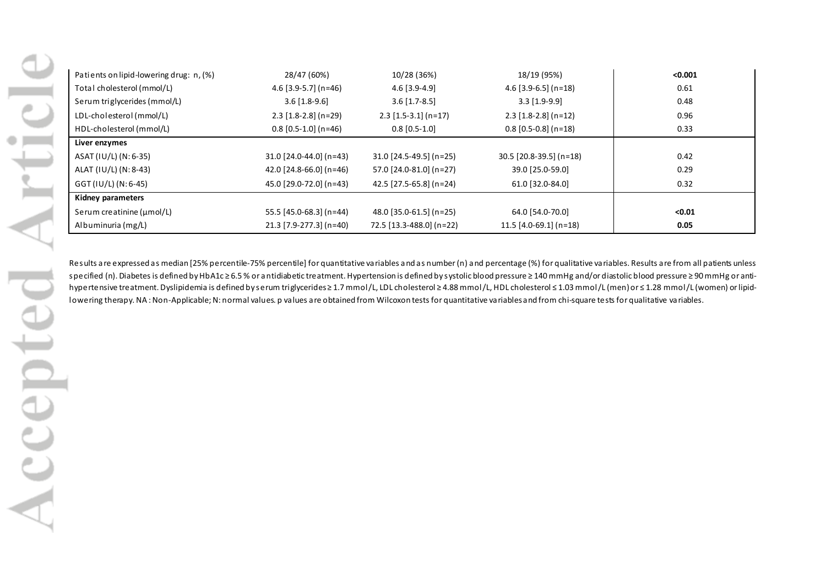| Patients on lipid-lowering drug: n, (%) | 28/47 (60%)                 | 10/28 (36%)               | 18/19 (95%)               | < 0.001 |
|-----------------------------------------|-----------------------------|---------------------------|---------------------------|---------|
| Total cholesterol (mmol/L)              | 4.6 $[3.9 - 5.7]$ (n=46)    | $4.6$ [3.9-4.9]           | $4.6$ [3.9-6.5] (n=18)    | 0.61    |
| Serum triglycerides (mmol/L)            | $3.6$ [1.8-9.6]             | $3.6$ [1.7-8.5]           | $3.3$ [1.9-9.9]           | 0.48    |
| LDL-cholesterol (mmol/L)                | $2.3$ [1.8-2.8] (n=29)      | $2.3$ [1.5-3.1] (n=17)    | $2.3$ [1.8-2.8] (n=12)    | 0.96    |
| HDL-cholesterol (mmol/L)                | $0.8$ [0.5-1.0] (n=46)      | $0.8$ [0.5-1.0]           | $0.8$ [0.5-0.8] (n=18)    | 0.33    |
| Liver enzymes                           |                             |                           |                           |         |
| ASAT (IU/L) (N: 6-35)                   | $31.0$ [24.0-44.0] (n=43)   | $31.0$ [24.5-49.5] (n=25) | $30.5$ [20.8-39.5] (n=18) | 0.42    |
| ALAT (IU/L) (N: 8-43)                   | 42.0 $[24.8 - 66.0]$ (n=46) | 57.0 [24.0-81.0] (n=27)   | 39.0 [25.0-59.0]          | 0.29    |
| GGT (IU/L) (N: 6-45)                    | 45.0 [29.0-72.0] (n=43)     | 42.5 [27.5-65.8] (n=24)   | 61.0 [32.0-84.0]          | 0.32    |
| Kidney parameters                       |                             |                           |                           |         |
| Serum creatinine $(\mu \text{mol/L})$   | 55.5 [45.0-68.3] (n=44)     | 48.0 [35.0-61.5] (n=25)   | 64.0 [54.0-70.0]          | < 0.01  |
| Albuminuria (mg/L)                      | 21.3 [7.9-277.3] (n=40)     | 72.5 [13.3-488.0] (n=22)  | $11.5$ [4.0-69.1] (n=18)  | 0.05    |

Results are expressed as median [25% percentile-75% percentile] for quantitative variables and as number (n) and percentage (%) for qualitative variables. Results are from all patients unless specified (n). Diabetes is defined by HbA1c ≥ 6.5 % or antidiabetic treatment. Hypertension is defined by systolic blood pressure ≥ 140 mmHg and/or diastolic blood pressure ≥ 90 mmHg or antihypertensive treatment. Dyslipidemia is defined by serum triglycerides ≥ 1.7 mmol/L, LDL cholesterol ≥ 4.88 mmol/L, HDL cholesterol ≤ 1.03 mmol/L (men) or ≤ 1.28 mmol/L (women) or lipidlowering therapy. NA: Non-Applicable; N: normal values. p values are obtained from Wilcoxon tests for quantitative variables and from chi-square tests for qualitative variables.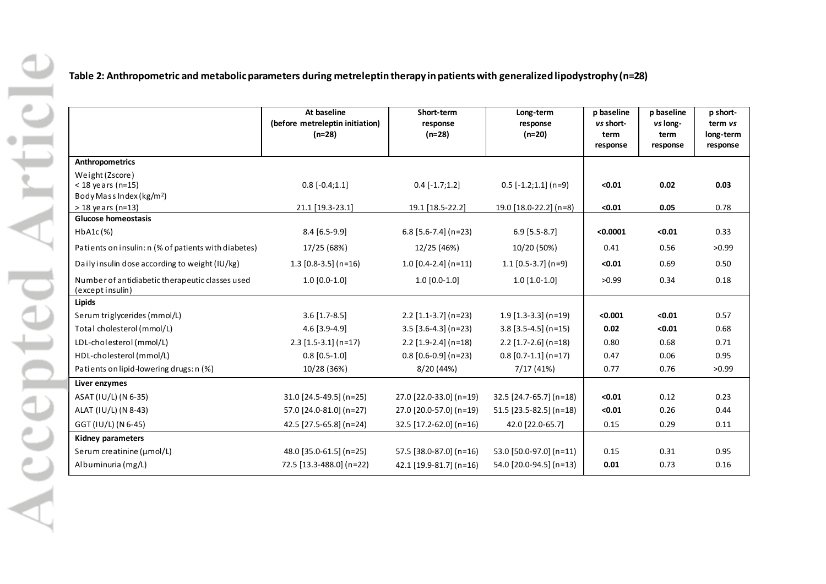|                                                                                | At baseline<br>(before metreleptin initiation)<br>$(n=28)$ | Short-term<br>response<br>$(n=28)$ | Long-term<br>response<br>$(n=20)$ | p baseline<br>vs short-<br>term<br>response | p baseline<br>vs long-<br>term<br>response |
|--------------------------------------------------------------------------------|------------------------------------------------------------|------------------------------------|-----------------------------------|---------------------------------------------|--------------------------------------------|
| Anthropometrics                                                                |                                                            |                                    |                                   |                                             |                                            |
| Weight (Zscore)<br>$<$ 18 years (n=15)<br>Body Mass Index (kg/m <sup>2</sup> ) | $0.8[-0.4;1.1]$                                            | $0.4[-1.7;1.2]$                    | $0.5$ [-1.2;1.1] (n=9)            | $0.01$                                      | 0.02                                       |
| $> 18$ years (n=13)                                                            | 21.1 [19.3-23.1]                                           | 19.1 [18.5-22.2]                   | 19.0 [18.0-22.2] (n=8)            | $0.01$                                      | 0.05                                       |
| Glucose homeostasis                                                            |                                                            |                                    |                                   |                                             |                                            |
| $HbA1c$ $(*)$                                                                  | 8.4 [6.5-9.9]                                              | $6.8$ [5.6-7.4] (n=23)             | $6.9$ [5.5-8.7]                   | < 0.0001                                    | < 0.01                                     |
| Patients on insulin: n (% of patients with diabetes)                           | 17/25 (68%)                                                | 12/25 (46%)                        | 10/20 (50%)                       | 0.41                                        | 0.56                                       |
| Daily insulin dose according to weight (IU/kg)                                 | $1.3$ [0.8-3.5] (n=16)                                     | $1.0$ [0.4-2.4] (n=11)             | $1.1$ [0.5-3.7] (n=9)             | < 0.01                                      | 0.69                                       |
| Number of antidiabetic therapeutic classes used<br>(exceptinsulin)             | $1.0 [0.0-1.0]$                                            | $1.0 [0.0-1.0]$                    | $1.0$ [1.0-1.0]                   | >0.99                                       | 0.34                                       |
| Lipids                                                                         |                                                            |                                    |                                   |                                             |                                            |
| Serum triglycerides (mmol/L)                                                   | $3.6$ [1.7-8.5]                                            | $2.2$ [1.1-3.7] (n=23)             | $1.9$ [1.3-3.3] (n=19)            | < 0.001                                     | < 0.01                                     |
| Total cholesterol (mmol/L)                                                     | 4.6 [3.9-4.9]                                              | $3.5$ [3.6-4.3] (n=23)             | $3.8$ [3.5-4.5] (n=15)            | 0.02                                        | < 0.01                                     |
| LDL-cholesterol (mmol/L)                                                       | $2.3$ [1.5-3.1] (n=17)                                     | $2.2$ [1.9-2.4] (n=18)             | $2.2$ [1.7-2.6] (n=18)            | 0.80                                        | 0.68                                       |
| HDL-cholesterol (mmol/L)                                                       | $0.8$ [0.5-1.0]                                            | $0.8$ [0.6-0.9] (n=23)             | $0.8$ [0.7-1.1] (n=17)            | 0.47                                        | 0.06                                       |
| Patients on lipid-lowering drugs: n (%)                                        | 10/28 (36%)                                                | 8/20 (44%)                         | 7/17(41%)                         | 0.77                                        | 0.76                                       |
| Liver enzymes                                                                  |                                                            |                                    |                                   |                                             |                                            |
| ASAT (IU/L) (N 6-35)                                                           | 31.0 [24.5-49.5] (n=25)                                    | 27.0 [22.0-33.0] (n=19)            | 32.5 [24.7-65.7] (n=18)           | < 0.01                                      | 0.12                                       |
| ALAT (IU/L) (N 8-43)                                                           | 57.0 [24.0-81.0] (n=27)                                    | 27.0 [20.0-57.0] (n=19)            | 51.5 [23.5-82.5] (n=18)           | < 0.01                                      | 0.26                                       |
| GGT (IU/L) (N 6-45)                                                            | 42.5 [27.5-65.8] (n=24)                                    | 32.5 [17.2-62.0] (n=16)            | 42.0 [22.0-65.7]                  | 0.15                                        | 0.29                                       |
| Kidney parameters                                                              |                                                            |                                    |                                   |                                             |                                            |
| Serum creatinine (µmol/L)                                                      | 48.0 [35.0-61.5] (n=25)                                    | 57.5 [38.0-87.0] (n=16)            | 53.0 [50.0-97.0] (n=11)           | 0.15                                        | 0.31                                       |
| Albuminuria (mg/L)                                                             | 72.5 [13.3-488.0] (n=22)                                   | 42.1 [19.9-81.7] (n=16)            | 54.0 [20.0-94.5] (n=13)           | 0.01                                        | 0.73                                       |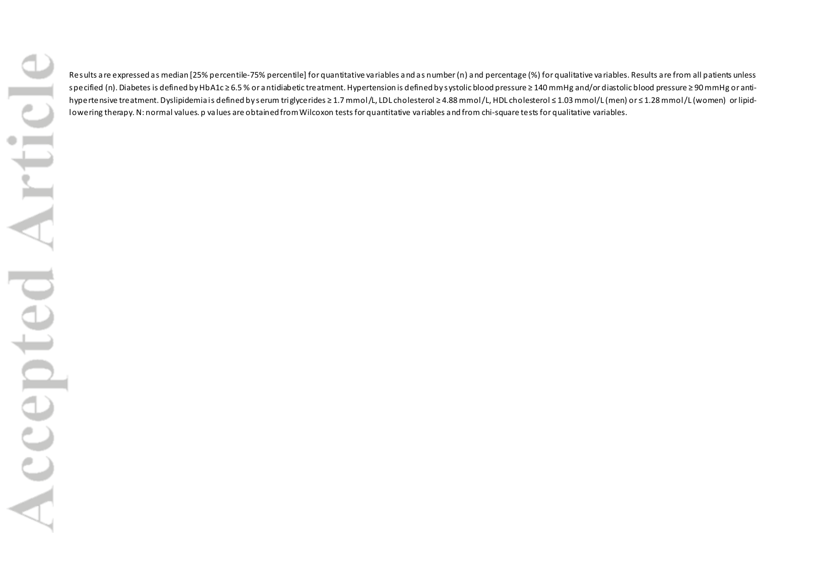Results are expressed as median [25% percentile-75% percentile] for quantitative variables and as number (n) and percentage (%) for qualitative variables. Results are from all patients unless specified (n). Diabetes is defined by HbA1c ≥ 6.5 % or antidiabetic treatment. Hypertension is defined by systolic blood pressure ≥ 140 mmHg and/or diastolic blood pressure ≥ 90 mmHg or antihypertensive treatment. Dyslipidemia is defined by serum triglycerides ≥ 1.7 mmol/L, LDL cholesterol ≥ 4.88 mmol/L, HDL cholesterol ≤ 1.03 mmol/L (men) or ≤ 1.28 mmol/L (women) or lipidlowering therapy. N: normal values. p values are obtained from Wilcoxon tests for quantitative variables and from chi-square tests for qualitative variables.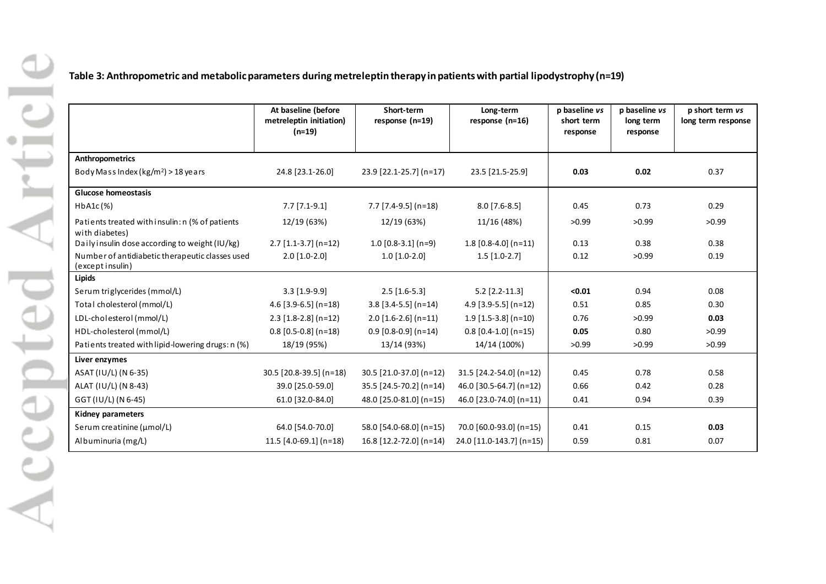**Table 3: Anthropometric and metabolic parameters during metreleptin therapy in patients with partial lipodystrophy (n=19)**

|                                                                    | At baseline (before<br>metreleptin initiation)<br>$(n=19)$ | Short-term<br>response $(n=19)$ | Long-term<br>response (n=16) | p baseline vs<br>short term<br>response | p baseline vs<br>long term<br>response | p short term vs<br>long term response |
|--------------------------------------------------------------------|------------------------------------------------------------|---------------------------------|------------------------------|-----------------------------------------|----------------------------------------|---------------------------------------|
| Anthropometrics                                                    |                                                            |                                 |                              |                                         |                                        |                                       |
| Body Mass Index (kg/m <sup>2</sup> ) > 18 years                    | 24.8 [23.1-26.0]                                           | 23.9 [22.1-25.7] (n=17)         | 23.5 [21.5-25.9]             | 0.03                                    | 0.02                                   | 0.37                                  |
| <b>Glucose homeostasis</b>                                         |                                                            |                                 |                              |                                         |                                        |                                       |
| $HbA1c$ $(\%)$                                                     | $7.7$ [7.1-9.1]                                            | $7.7$ [7.4-9.5] (n=18)          | $8.0$ [7.6-8.5]              | 0.45                                    | 0.73                                   | 0.29                                  |
| Patients treated with insulin: n (% of patients<br>with diabetes)  | 12/19 (63%)                                                | 12/19 (63%)                     | 11/16 (48%)                  | >0.99                                   | >0.99                                  | >0.99                                 |
| Daily insulin dose according to weight (IU/kg)                     | $2.7$ [1.1-3.7] (n=12)                                     | $1.0$ [0.8-3.1] (n=9)           | $1.8$ [0.8-4.0] (n=11)       | 0.13                                    | 0.38                                   | 0.38                                  |
| Number of antidiabetic therapeutic classes used<br>(exceptinsulin) | $2.0$ [1.0-2.0]                                            | $1.0$ [1.0-2.0]                 | $1.5$ [1.0-2.7]              | 0.12                                    | >0.99                                  | 0.19                                  |
| Lipids                                                             |                                                            |                                 |                              |                                         |                                        |                                       |
| Serum triglycerides (mmol/L)                                       | $3.3$ [1.9-9.9]                                            | $2.5$ [1.6-5.3]                 | $5.2$ [2.2-11.3]             | < 0.01                                  | 0.94                                   | 0.08                                  |
| Total cholesterol (mmol/L)                                         | 4.6 $[3.9-6.5]$ (n=18)                                     | $3.8$ [3.4-5.5] (n=14)          | $4.9$ [3.9-5.5] (n=12)       | 0.51                                    | 0.85                                   | 0.30                                  |
| LDL-cholesterol (mmol/L)                                           | $2.3$ [1.8-2.8] (n=12)                                     | $2.0$ [1.6-2.6] (n=11)          | $1.9$ [1.5-3.8] (n=10)       | 0.76                                    | >0.99                                  | 0.03                                  |
| HDL-cholesterol (mmol/L)                                           | $0.8$ [0.5-0.8] (n=18)                                     | $0.9$ [0.8-0.9] (n=14)          | $0.8$ [0.4-1.0] (n=15)       | 0.05                                    | 0.80                                   | >0.99                                 |
| Patients treated with lipid-lowering drugs: n (%)                  | 18/19 (95%)                                                | 13/14 (93%)                     | 14/14 (100%)                 | >0.99                                   | >0.99                                  | >0.99                                 |
| Liver enzymes                                                      |                                                            |                                 |                              |                                         |                                        |                                       |
| ASAT (IU/L) (N 6-35)                                               | 30.5 [20.8-39.5] (n=18)                                    | 30.5 [21.0-37.0] (n=12)         | 31.5 [24.2-54.0] (n=12)      | 0.45                                    | 0.78                                   | 0.58                                  |
| ALAT (IU/L) (N 8-43)                                               | 39.0 [25.0-59.0]                                           | 35.5 [24.5-70.2] (n=14)         | 46.0 [30.5-64.7] (n=12)      | 0.66                                    | 0.42                                   | 0.28                                  |
| GGT (IU/L) (N 6-45)                                                | 61.0 [32.0-84.0]                                           | 48.0 [25.0-81.0] (n=15)         | 46.0 [23.0-74.0] (n=11)      | 0.41                                    | 0.94                                   | 0.39                                  |
| <b>Kidney parameters</b>                                           |                                                            |                                 |                              |                                         |                                        |                                       |
| Serum creatinine (µmol/L)                                          | 64.0 [54.0-70.0]                                           | 58.0 [54.0-68.0] (n=15)         | 70.0 [60.0-93.0] (n=15)      | 0.41                                    | 0.15                                   | 0.03                                  |
| Albuminuria (mg/L)                                                 | 11.5 $[4.0 - 69.1]$ (n=18)                                 | 16.8 [12.2-72.0] (n=14)         | 24.0 [11.0-143.7] (n=15)     | 0.59                                    | 0.81                                   | 0.07                                  |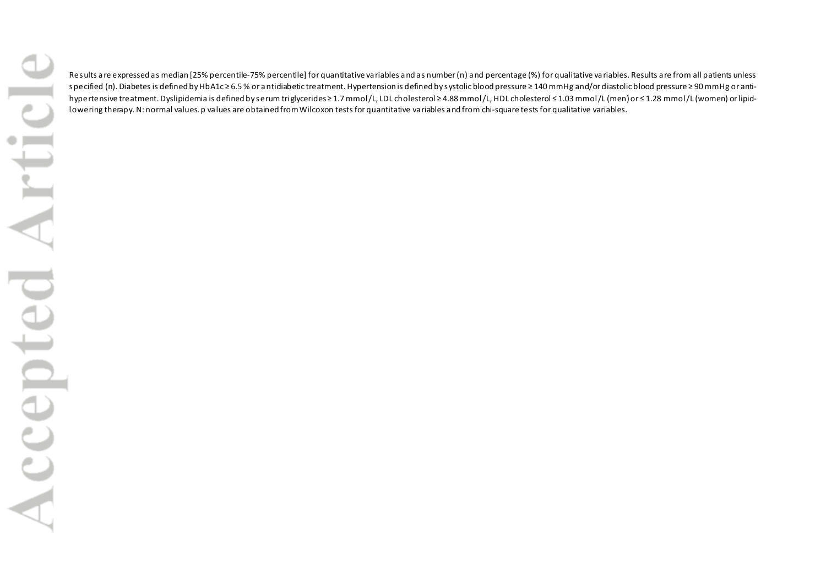Results are expressed as median [25% percentile-75% percentile] for quantitative variables and as number (n) and percentage (%) for qualitative variables. Results are from all patients unless specified (n). Diabetes is defined by HbA1c ≥ 6.5 % or antidiabetic treatment. Hypertension is defined by systolic blood pressure ≥ 140 mmHg and/or diastolic blood pressure ≥ 90 mmHg or antihypertensive treatment. Dyslipidemia is defined by serum triglycerides ≥ 1.7 mmol/L, LDL cholesterol ≥ 4.88 mmol/L, HDL cholesterol ≤ 1.03 mmol/L (men) or ≤ 1.28 mmol/L (women) or lipidlowering therapy. N: normal values. p values are obtained from Wilcoxon tests for quantitative variables and from chi-square tests for qualitative variables.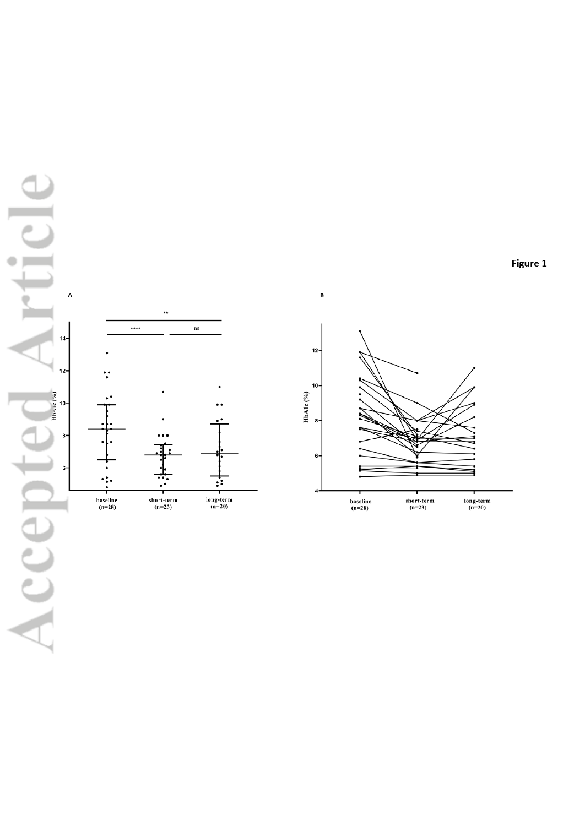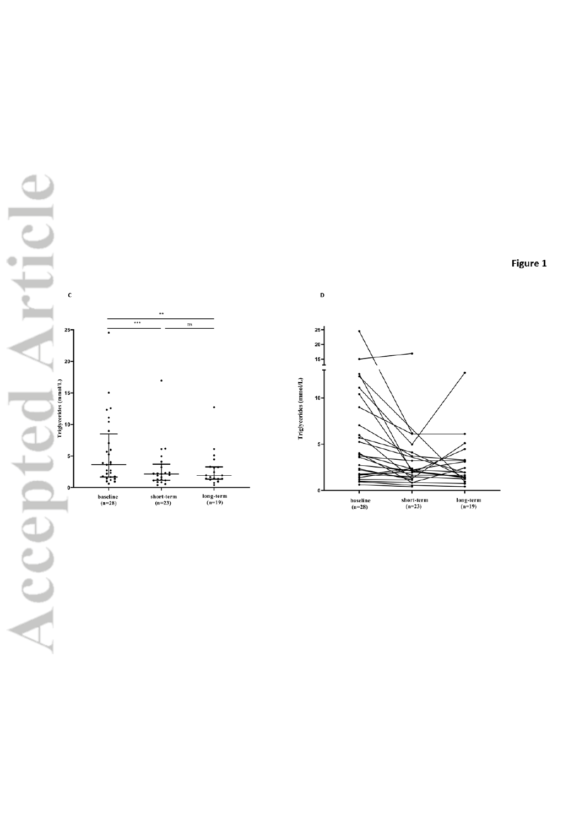



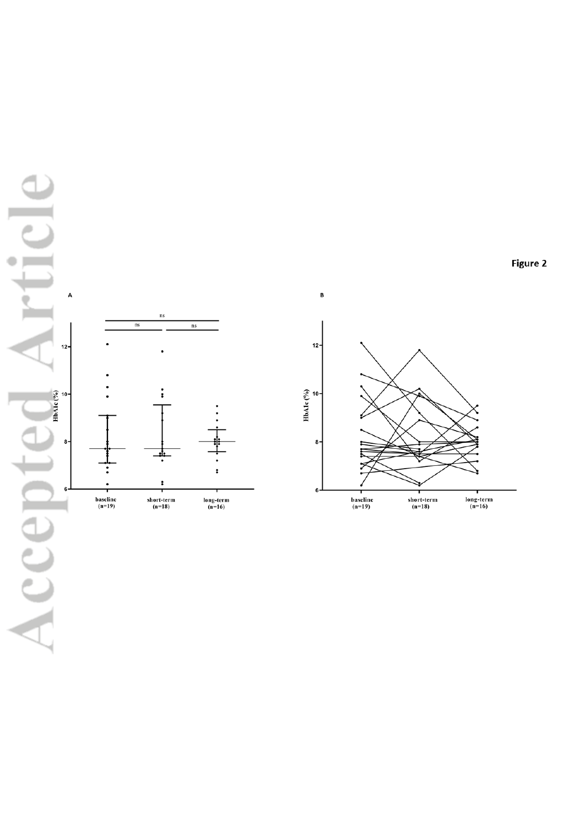